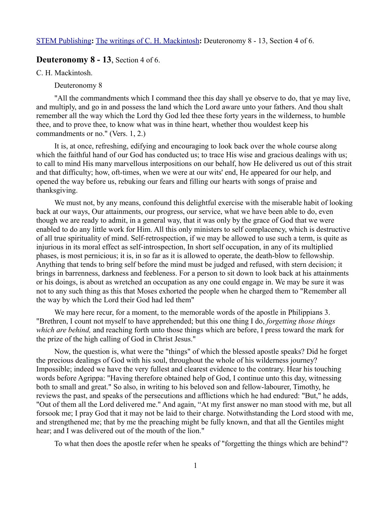## **Deuteronomy 8 - 13**, Section 4 of 6.

C. H. Mackintosh.

Deuteronomy 8

"All the commandments which I command thee this day shall ye observe to do, that ye may live, and multiply, and go in and possess the land which the Lord aware unto your fathers. And thou shalt remember all the way which the Lord thy God led thee these forty years in the wilderness, to humble thee, and to prove thee, to know what was in thine heart, whether thou wouldest keep his commandments or no." (Vers. 1, 2.)

It is, at once, refreshing, edifying and encouraging to look back over the whole course along which the faithful hand of our God has conducted us; to trace His wise and gracious dealings with us; to call to mind His many marvellous interpositions on our behalf, how He delivered us out of this strait and that difficulty; how, oft-times, when we were at our wits' end, He appeared for our help, and opened the way before us, rebuking our fears and filling our hearts with songs of praise and thanksgiving.

We must not, by any means, confound this delightful exercise with the miserable habit of looking back at our ways, Our attainments, our progress, our service, what we have been able to do, even though we are ready to admit, in a general way, that it was only by the grace of God that we were enabled to do any little work for Him. All this only ministers to self complacency, which is destructive of all true spirituality of mind. Self-retrospection, if we may be allowed to use such a term, is quite as injurious in its moral effect as self-introspection, In short self occupation, in any of its multiplied phases, is most pernicious; it is, in so far as it is allowed to operate, the death-blow to fellowship. Anything that tends to bring self before the mind must be judged and refused, with stern decision; it brings in barrenness, darkness and feebleness. For a person to sit down to look back at his attainments or his doings, is about as wretched an occupation as any one could engage in. We may be sure it was not to any such thing as this that Moses exhorted the people when he charged them to "Remember all the way by which the Lord their God had led them"

We may here recur, for a moment, to the memorable words of the apostle in Philippians 3. "Brethren, I count not myself to have apprehended; but this one thing I do, *forgetting those things which are behind,* and reaching forth unto those things which are before, I press toward the mark for the prize of the high calling of God in Christ Jesus."

Now, the question is, what were the "things" of which the blessed apostle speaks? Did he forget the precious dealings of God with his soul, throughout the whole of his wilderness journey? Impossible; indeed we have the very fullest and clearest evidence to the contrary. Hear his touching words before Agrippa: "Having therefore obtained help of God, I continue unto this day, witnessing both to small and great." So also, in writing to his beloved son and fellow-labourer, Timothy, he reviews the past, and speaks of the persecutions and afflictions which he had endured: "But," he adds, "Out of them all the Lord delivered me." And again, "At my first answer no man stood with me, but all forsook me; I pray God that it may not be laid to their charge. Notwithstanding the Lord stood with me, and strengthened me; that by me the preaching might be fully known, and that all the Gentiles might hear; and I was delivered out of the mouth of the lion."

To what then does the apostle refer when he speaks of "forgetting the things which are behind"?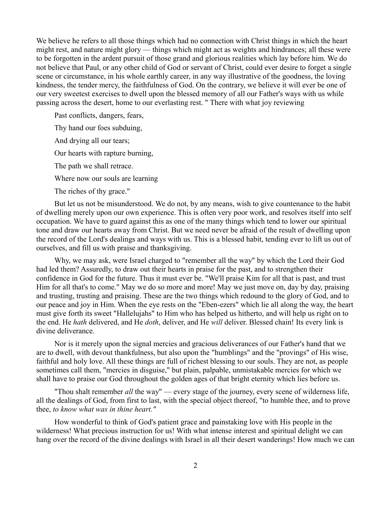We believe he refers to all those things which had no connection with Christ things in which the heart might rest, and nature might glory — things which might act as weights and hindrances; all these were to be forgotten in the ardent pursuit of those grand and glorious realities which lay before him. We do not believe that Paul, or any other child of God or servant of Christ, could ever desire to forget a single scene or circumstance, in his whole earthly career, in any way illustrative of the goodness, the loving kindness, the tender mercy, the faithfulness of God. On the contrary, we believe it will ever be one of our very sweetest exercises to dwell upon the blessed memory of all our Father's ways with us while passing across the desert, home to our everlasting rest. " There with what joy reviewing

Past conflicts, dangers, fears,

Thy hand our foes subduing,

And drying all our tears;

Our hearts with rapture burning,

The path we shall retrace.

Where now our souls are learning

The riches of thy grace."

But let us not be misunderstood. We do not, by any means, wish to give countenance to the habit of dwelling merely upon our own experience. This is often very poor work, and resolves itself into self occupation. We have to guard against this as one of the many things which tend to lower our spiritual tone and draw our hearts away from Christ. But we need never be afraid of the result of dwelling upon the record of the Lord's dealings and ways with us. This is a blessed habit, tending ever to lift us out of ourselves, and fill us with praise and thanksgiving.

Why, we may ask, were Israel charged to "remember all the way" by which the Lord their God had led them? Assuredly, to draw out their hearts in praise for the past, and to strengthen their confidence in God for the future. Thus it must ever be. "We'll praise Kim for all that is past, and trust Him for all that's to come." May we do so more and more! May we just move on, day by day, praising and trusting, trusting and praising. These are the two things which redound to the glory of God, and to our peace and joy in Him. When the eye rests on the "Eben-ezers" which lie all along the way, the heart must give forth its sweet "Hallelujahs" to Him who has helped us hitherto, and will help us right on to the end. He *hath* delivered, and He *doth*, deliver, and He *will* deliver. Blessed chain! Its every link is divine deliverance.

Nor is it merely upon the signal mercies and gracious deliverances of our Father's hand that we are to dwell, with devout thankfulness, but also upon the "humblings" and the "provings" of His wise, faithful and holy love. All these things are full of richest blessing to our souls. They are not, as people sometimes call them, "mercies in disguise," but plain, palpable, unmistakable mercies for which we shall have to praise our God throughout the golden ages of that bright eternity which lies before us.

"Thou shalt remember *all* the way" — every stage of the journey, every scene of wilderness life, all the dealings of God, from first to last, with the special object thereof, "to humble thee, and to prove thee, *to know what was in thine heart."*

How wonderful to think of God's patient grace and painstaking love with His people in the wilderness! What precious instruction for us! With what intense interest and spiritual delight we can hang over the record of the divine dealings with Israel in all their desert wanderings! How much we can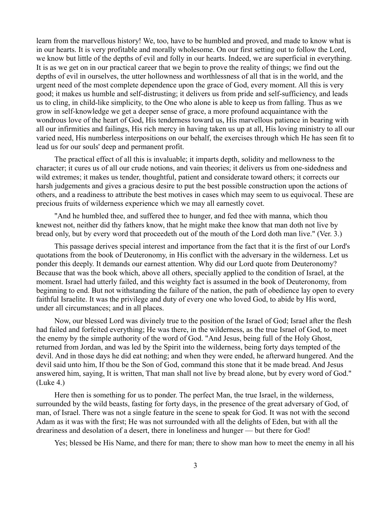learn from the marvellous history! We, too, have to be humbled and proved, and made to know what is in our hearts. It is very profitable and morally wholesome. On our first setting out to follow the Lord, we know but little of the depths of evil and folly in our hearts. Indeed, we are superficial in everything. It is as we get on in our practical career that we begin to prove the reality of things; we find out the depths of evil in ourselves, the utter hollowness and worthlessness of all that is in the world, and the urgent need of the most complete dependence upon the grace of God, every moment. All this is very good; it makes us humble and self-distrusting; it delivers us from pride and self-sufficiency, and leads us to cling, in child-like simplicity, to the One who alone is able to keep us from falling. Thus as we grow in self-knowledge we get a deeper sense of grace, a more profound acquaintance with the wondrous love of the heart of God, His tenderness toward us, His marvellous patience in bearing with all our infirmities and failings, His rich mercy in having taken us up at all, His loving ministry to all our varied need, His numberless interpositions on our behalf, the exercises through which He has seen fit to lead us for our souls' deep and permanent profit.

The practical effect of all this is invaluable; it imparts depth, solidity and mellowness to the character; it cures us of all our crude notions, and vain theories; it delivers us from one-sidedness and wild extremes; it makes us tender, thoughtful, patient and considerate toward others; it corrects our harsh judgements and gives a gracious desire to put the best possible construction upon the actions of others, and a readiness to attribute the best motives in cases which may seem to us equivocal. These are precious fruits of wilderness experience which we may all earnestly covet.

"And he humbled thee, and suffered thee to hunger, and fed thee with manna, which thou knewest not, neither did thy fathers know, that he might make thee know that man doth not live by bread only, but by every word that proceedeth out of the mouth of the Lord doth man live." (Ver. 3.)

This passage derives special interest and importance from the fact that it is the first of our Lord's quotations from the book of Deuteronomy, in His conflict with the adversary in the wilderness. Let us ponder this deeply. It demands our earnest attention. Why did our Lord quote from Deuteronomy? Because that was the book which, above all others, specially applied to the condition of Israel, at the moment. Israel had utterly failed, and this weighty fact is assumed in the book of Deuteronomy, from beginning to end. But not withstanding the failure of the nation, the path of obedience lay open to every faithful Israelite. It was the privilege and duty of every one who loved God, to abide by His word, under all circumstances; and in all places.

Now, our blessed Lord was divinely true to the position of the Israel of God; Israel after the flesh had failed and forfeited everything; He was there, in the wilderness, as the true Israel of God, to meet the enemy by the simple authority of the word of God. "And Jesus, being full of the Holy Ghost, returned from Jordan, and was led by the Spirit into the wilderness, being forty days tempted of the devil. And in those days he did eat nothing; and when they were ended, he afterward hungered. And the devil said unto him, If thou be the Son of God, command this stone that it be made bread. And Jesus answered him, saying, It is written, That man shall not live by bread alone, but by every word of God." (Luke 4.)

Here then is something for us to ponder. The perfect Man, the true Israel, in the wilderness, surrounded by the wild beasts, fasting for forty days, in the presence of the great adversary of God, of man, of Israel. There was not a single feature in the scene to speak for God. It was not with the second Adam as it was with the first; He was not surrounded with all the delights of Eden, but with all the dreariness and desolation of a desert, there in loneliness and hunger — but there for God!

Yes; blessed be His Name, and there for man; there to show man how to meet the enemy in all his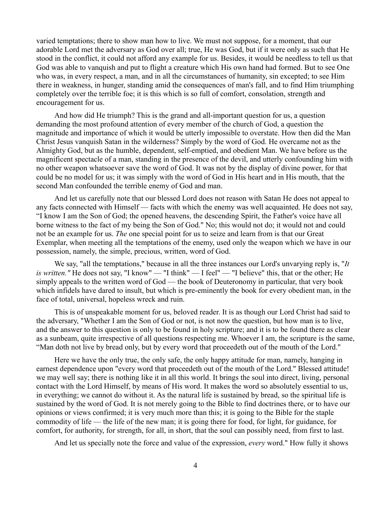varied temptations; there to show man how to live. We must not suppose, for a moment, that our adorable Lord met the adversary as God over all; true, He was God, but if it were only as such that He stood in the conflict, it could not afford any example for us. Besides, it would be needless to tell us that God was able to vanquish and put to flight a creature which His own hand had formed. But to see One who was, in every respect, a man, and in all the circumstances of humanity, sin excepted; to see Him there in weakness, in hunger, standing amid the consequences of man's fall, and to find Him triumphing completely over the terrible foe; it is this which is so full of comfort, consolation, strength and encouragement for us.

And how did He triumph? This is the grand and all-important question for us, a question demanding the most profound attention of every member of the church of God, a question the magnitude and importance of which it would be utterly impossible to overstate. How then did the Man Christ Jesus vanquish Satan in the wilderness? Simply by the word of God. He overcame not as the Almighty God, but as the humble, dependent, self-emptied, and obedient Man. We have before us the magnificent spectacle of a man, standing in the presence of the devil, and utterly confounding him with no other weapon whatsoever save the word of God. It was not by the display of divine power, for that could be no model for us; it was simply with the word of God in His heart and in His mouth, that the second Man confounded the terrible enemy of God and man.

And let us carefully note that our blessed Lord does not reason with Satan He does not appeal to any facts connected with Himself — facts with which the enemy was well acquainted. He does not say, "I know I am the Son of God; the opened heavens, the descending Spirit, the Father's voice have all borne witness to the fact of my being the Son of God." No; this would not do; it would not and could not be an example for us. *The* one special point for us to seize and learn from is that our Great Exemplar, when meeting all the temptations of the enemy, used only the weapon which we have in our possession, namely, the simple, precious, written, word of God.

We say, "all the temptations," because in all the three instances our Lord's unvarying reply is, "*It is written."* He does not say, "I know" — "I think" — I feel" — "I believe" this, that or the other; He simply appeals to the written word of God — the book of Deuteronomy in particular, that very book which infidels have dared to insult, but which is pre-eminently the book for every obedient man, in the face of total, universal, hopeless wreck and ruin.

This is of unspeakable moment for us, beloved reader. It is as though our Lord Christ had said to the adversary, "Whether I am the Son of God or not, is not now the question, but how man is to live, and the answer to this question is only to be found in holy scripture; and it is to be found there as clear as a sunbeam, quite irrespective of all questions respecting me. Whoever I am, the scripture is the same, "Man doth not live by bread only, but by every word that proceedeth out of the mouth of the Lord."

Here we have the only true, the only safe, the only happy attitude for man, namely, hanging in earnest dependence upon "every word that proceedeth out of the mouth of the Lord." Blessed attitude! we may well say; there is nothing like it in all this world. It brings the soul into direct, living, personal contact with the Lord Himself, by means of His word. It makes the word so absolutely essential to us, in everything; we cannot do without it. As the natural life is sustained by bread, so the spiritual life is sustained by the word of God. It is not merely going to the Bible to find doctrines there, or to have our opinions or views confirmed; it is very much more than this; it is going to the Bible for the staple commodity of life — the life of the new man; it is going there for food, for light, for guidance, for comfort, for authority, for strength, for all, in short, that the soul can possibly need, from first to last.

And let us specially note the force and value of the expression, *every* word." How fully it shows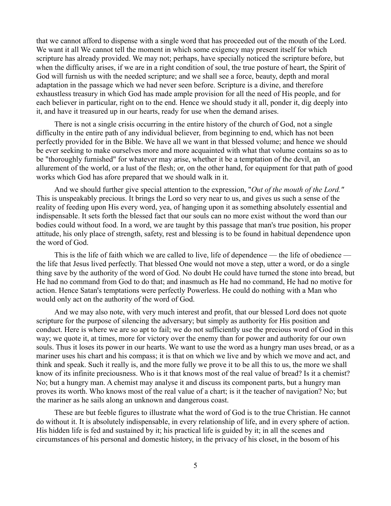that we cannot afford to dispense with a single word that has proceeded out of the mouth of the Lord. We want it all We cannot tell the moment in which some exigency may present itself for which scripture has already provided. We may not; perhaps, have specially noticed the scripture before, but when the difficulty arises, if we are in a right condition of soul, the true posture of heart, the Spirit of God will furnish us with the needed scripture; and we shall see a force, beauty, depth and moral adaptation in the passage which we had never seen before. Scripture is a divine, and therefore exhaustless treasury in which God has made ample provision for all the need of His people, and for each believer in particular, right on to the end. Hence we should study it all, ponder it, dig deeply into it, and have it treasured up in our hearts, ready for use when the demand arises.

There is not a single crisis occurring in the entire history of the church of God, not a single difficulty in the entire path of any individual believer, from beginning to end, which has not been perfectly provided for in the Bible. We have all we want in that blessed volume; and hence we should be ever seeking to make ourselves more and more acquainted with what that volume contains so as to be "thoroughly furnished" for whatever may arise, whether it be a temptation of the devil, an allurement of the world, or a lust of the flesh; or, on the other hand, for equipment for that path of good works which God has afore prepared that we should walk in it.

And we should further give special attention to the expression, "*Out of the mouth of the Lord."* This is unspeakably precious. It brings the Lord so very near to us, and gives us such a sense of the reality of feeding upon His every word, yea, of hanging upon it as something absolutely essential and indispensable. It sets forth the blessed fact that our souls can no more exist without the word than our bodies could without food. In a word, we are taught by this passage that man's true position, his proper attitude, his only place of strength, safety, rest and blessing is to be found in habitual dependence upon the word of God.

This is the life of faith which we are called to live, life of dependence — the life of obedience the life that Jesus lived perfectly. That blessed One would not move a step, utter a word, or do a single thing save by the authority of the word of God. No doubt He could have turned the stone into bread, but He had no command from God to do that; and inasmuch as He had no command, He had no motive for action. Hence Satan's temptations were perfectly Powerless. He could do nothing with a Man who would only act on the authority of the word of God.

And we may also note, with very much interest and profit, that our blessed Lord does not quote scripture for the purpose of silencing the adversary; but simply as authority for His position and conduct. Here is where we are so apt to fail; we do not sufficiently use the precious word of God in this way; we quote it, at times, more for victory over the enemy than for power and authority for our own souls. Thus it loses its power in our hearts. We want to use the word as a hungry man uses bread, or as a mariner uses his chart and his compass; it is that on which we live and by which we move and act, and think and speak. Such it really is, and the more fully we prove it to be all this to us, the more we shall know of its infinite preciousness. Who is it that knows most of the real value of bread? Is it a chemist? No; but a hungry man. A chemist may analyse it and discuss its component parts, but a hungry man proves its worth. Who knows most of the real value of a chart; is it the teacher of navigation? No; but the mariner as he sails along an unknown and dangerous coast.

These are but feeble figures to illustrate what the word of God is to the true Christian. He cannot do without it. It is absolutely indispensable, in every relationship of life, and in every sphere of action. His hidden life is fed and sustained by it; his practical life is guided by it; in all the scenes and circumstances of his personal and domestic history, in the privacy of his closet, in the bosom of his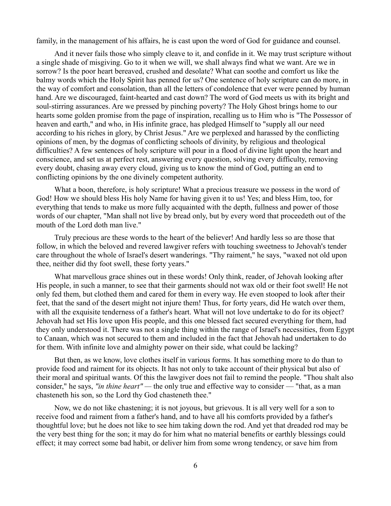family, in the management of his affairs, he is cast upon the word of God for guidance and counsel.

And it never fails those who simply cleave to it, and confide in it. We may trust scripture without a single shade of misgiving. Go to it when we will, we shall always find what we want. Are we in sorrow? Is the poor heart bereaved, crushed and desolate? What can soothe and comfort us like the balmy words which the Holy Spirit has penned for us? One sentence of holy scripture can do more, in the way of comfort and consolation, than all the letters of condolence that ever were penned by human hand. Are we discouraged, faint-hearted and cast down? The word of God meets us with its bright and soul-stirring assurances. Are we pressed by pinching poverty? The Holy Ghost brings home to our hearts some golden promise from the page of inspiration, recalling us to Him who is "The Possessor of heaven and earth," and who, in His infinite grace, has pledged Himself to "supply all our need according to his riches in glory, by Christ Jesus." Are we perplexed and harassed by the conflicting opinions of men, by the dogmas of conflicting schools of divinity, by religious and theological difficulties? A few sentences of holy scripture will pour in a flood of divine light upon the heart and conscience, and set us at perfect rest, answering every question, solving every difficulty, removing every doubt, chasing away every cloud, giving us to know the mind of God, putting an end to conflicting opinions by the one divinely competent authority.

What a boon, therefore, is holy scripture! What a precious treasure we possess in the word of God! How we should bless His holy Name for having given it to us! Yes; and bless Him, too, for everything that tends to make us more fully acquainted with the depth, fullness and power of those words of our chapter, "Man shall not live by bread only, but by every word that proceedeth out of the mouth of the Lord doth man live."

Truly precious are these words to the heart of the believer! And hardly less so are those that follow, in which the beloved and revered lawgiver refers with touching sweetness to Jehovah's tender care throughout the whole of Israel's desert wanderings. "Thy raiment," he says, "waxed not old upon thee, neither did thy foot swell, these forty years."

What marvellous grace shines out in these words! Only think, reader, of Jehovah looking after His people, in such a manner, to see that their garments should not wax old or their foot swell! He not only fed them, but clothed them and cared for them in every way. He even stooped to look after their feet, that the sand of the desert might not injure them! Thus, for forty years, did He watch over them, with all the exquisite tenderness of a father's heart. What will not love undertake to do for its object? Jehovah had set His love upon His people, and this one blessed fact secured everything for them, had they only understood it. There was not a single thing within the range of Israel's necessities, from Egypt to Canaan, which was not secured to them and included in the fact that Jehovah had undertaken to do for them. With infinite love and almighty power on their side, what could be lacking?

But then, as we know, love clothes itself in various forms. It has something more to do than to provide food and raiment for its objects. It has not only to take account of their physical but also of their moral and spiritual wants. Of this the lawgiver does not fail to remind the people. "Thou shalt also consider," he says, *"in thine heart" —* the only true and effective way to consider — "that, as a man chasteneth his son, so the Lord thy God chasteneth thee."

Now, we do not like chastening; it is not joyous, but grievous. It is all very well for a son to receive food and raiment from a father's hand, and to have all his comforts provided by a father's thoughtful love; but he does not like to see him taking down the rod. And yet that dreaded rod may be the very best thing for the son; it may do for him what no material benefits or earthly blessings could effect; it may correct some bad habit, or deliver him from some wrong tendency, or save him from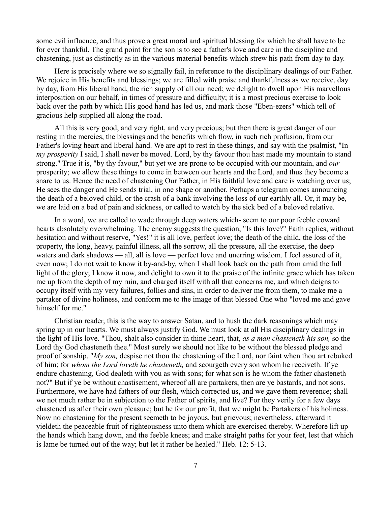some evil influence, and thus prove a great moral and spiritual blessing for which he shall have to be for ever thankful. The grand point for the son is to see a father's love and care in the discipline and chastening, just as distinctly as in the various material benefits which strew his path from day to day.

Here is precisely where we so signally fail, in reference to the disciplinary dealings of our Father. We rejoice in His benefits and blessings; we are filled with praise and thankfulness as we receive, day by day, from His liberal hand, the rich supply of all our need; we delight to dwell upon His marvellous interposition on our behalf, in times of pressure and difficulty; it is a most precious exercise to look back over the path by which His good hand has led us, and mark those "Eben-ezers" which tell of gracious help supplied all along the road.

All this is very good, and very right, and very precious; but then there is great danger of our resting in the mercies, the blessings and the benefits which flow, in such rich profusion, from our Father's loving heart and liberal hand. We are apt to rest in these things, and say with the psalmist, "In *my prosperity* I said, I shall never be moved. Lord, by thy favour thou hast made my mountain to stand strong." True it is, "by thy favour," but yet we are prone to be occupied with our mountain, and *our* prosperity; we allow these things to come in between our hearts and the Lord, and thus they become a snare to us. Hence the need of chastening Our Father, in His faithful love and care is watching over us; He sees the danger and He sends trial, in one shape or another. Perhaps a telegram comes announcing the death of a beloved child, or the crash of a bank involving the loss of our earthly all. Or, it may be, we are laid on a bed of pain and sickness, or called to watch by the sick bed of a beloved relative.

In a word, we are called to wade through deep waters which- seem to our poor feeble coward hearts absolutely overwhelming. The enemy suggests the question, "Is this love?" Faith replies, without hesitation and without reserve, "Yes!" it is all love, perfect love; the death of the child, the loss of the property, the long, heavy, painful illness, all the sorrow, all the pressure, all the exercise, the deep waters and dark shadows — all, all is love — perfect love and unerring wisdom. I feel assured of it, even now; I do not wait to know it by-and-by, when I shall look back on the path from amid the full light of the glory; I know it now, and delight to own it to the praise of the infinite grace which has taken me up from the depth of my ruin, and charged itself with all that concerns me, and which deigns to occupy itself with my very failures, follies and sins, in order to deliver me from them, to make me a partaker of divine holiness, and conform me to the image of that blessed One who "loved me and gave himself for me."

Christian reader, this is the way to answer Satan, and to hush the dark reasonings which may spring up in our hearts. We must always justify God. We must look at all His disciplinary dealings in the light of His love. "Thou, shalt also consider in thine heart, that, *as a man chasteneth his son,* so the Lord thy God chasteneth thee." Most surely we should not like to be without the blessed pledge and proof of sonship. "*My son,* despise not thou the chastening of the Lord, nor faint when thou art rebuked of him; for *whom the Lord loveth he chasteneth,* and scourgeth every son whom he receiveth. If ye endure chastening, God dealeth with you as with sons; for what son is he whom the father chasteneth not?" But if ye be without chastisement, whereof all are partakers, then are ye bastards, and not sons. Furthermore, we have had fathers of our flesh, which corrected us, and we gave them reverence; shall we not much rather be in subjection to the Father of spirits, and live? For they verily for a few days chastened us after their own pleasure; but he for our profit, that we might be Partakers of his holiness. Now no chastening for the present seemeth to be joyous, but grievous; nevertheless, afterward it yieldeth the peaceable fruit of righteousness unto them which are exercised thereby. Wherefore lift up the hands which hang down, and the feeble knees; and make straight paths for your feet, lest that which is lame be turned out of the way; but let it rather be healed." Heb. 12: 5-13.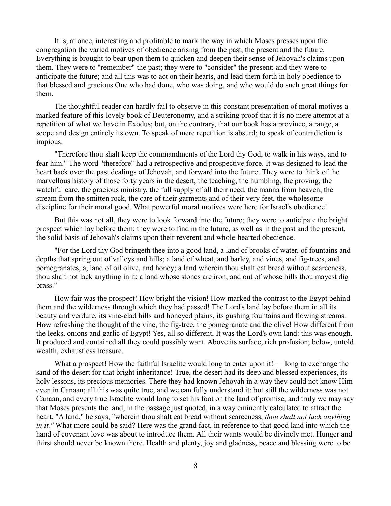It is, at once, interesting and profitable to mark the way in which Moses presses upon the congregation the varied motives of obedience arising from the past, the present and the future. Everything is brought to bear upon them to quicken and deepen their sense of Jehovah's claims upon them. They were to "remember" the past; they were to "consider" the present; and they were to anticipate the future; and all this was to act on their hearts, and lead them forth in holy obedience to that blessed and gracious One who had done, who was doing, and who would do such great things for them.

The thoughtful reader can hardly fail to observe in this constant presentation of moral motives a marked feature of this lovely book of Deuteronomy, and a striking proof that it is no mere attempt at a repetition of what we have in Exodus; but, on the contrary, that our book has a province, a range, a scope and design entirely its own. To speak of mere repetition is absurd; to speak of contradiction is impious.

"Therefore thou shalt keep the commandments of the Lord thy God, to walk in his ways, and to fear him." The word "therefore" had a retrospective and prospective force. It was designed to lead the heart back over the past dealings of Jehovah, and forward into the future. They were to think of the marvellous history of those forty years in the desert, the teaching, the humbling, the proving, the watchful care, the gracious ministry, the full supply of all their need, the manna from heaven, the stream from the smitten rock, the care of their garments and of their very feet, the wholesome discipline for their moral good. What powerful moral motives were here for Israel's obedience!

But this was not all, they were to look forward into the future; they were to anticipate the bright prospect which lay before them; they were to find in the future, as well as in the past and the present, the solid basis of Jehovah's claims upon their reverent and whole-hearted obedience.

"For the Lord thy God bringeth thee into a good land, a land of brooks of water, of fountains and depths that spring out of valleys and hills; a land of wheat, and barley, and vines, and fig-trees, and pomegranates, a, land of oil olive, and honey; a land wherein thou shalt eat bread without scarceness, thou shalt not lack anything in it; a land whose stones are iron, and out of whose hills thou mayest dig brass."

How fair was the prospect! How bright the vision! How marked the contrast to the Egypt behind them and the wilderness through which they had passed! The Lord's land lay before them in all its beauty and verdure, its vine-clad hills and honeyed plains, its gushing fountains and flowing streams. How refreshing the thought of the vine, the fig-tree, the pomegranate and the olive! How different from the leeks, onions and garlic of Egypt! Yes, all so different, It was the Lord's own land: this was enough. It produced and contained all they could possibly want. Above its surface, rich profusion; below, untold wealth, exhaustless treasure.

What a prospect! How the faithful Israelite would long to enter upon it! — long to exchange the sand of the desert for that bright inheritance! True, the desert had its deep and blessed experiences, its holy lessons, its precious memories. There they had known Jehovah in a way they could not know Him even in Canaan; all this was quite true, and we can fully understand it; but still the wilderness was not Canaan, and every true Israelite would long to set his foot on the land of promise, and truly we may say that Moses presents the land, in the passage just quoted, in a way eminently calculated to attract the heart. "A land," he says, "wherein thou shalt eat bread without scarceness, *thou shalt not lack anything in it."* What more could be said? Here was the grand fact, in reference to that good land into which the hand of covenant love was about to introduce them. All their wants would be divinely met. Hunger and thirst should never be known there. Health and plenty, joy and gladness, peace and blessing were to be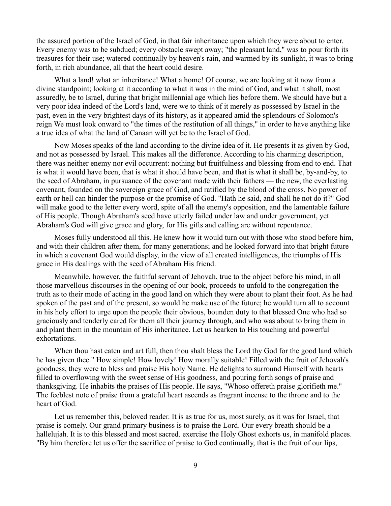the assured portion of the Israel of God, in that fair inheritance upon which they were about to enter. Every enemy was to be subdued; every obstacle swept away; "the pleasant land," was to pour forth its treasures for their use; watered continually by heaven's rain, and warmed by its sunlight, it was to bring forth, in rich abundance, all that the heart could desire.

What a land! what an inheritance! What a home! Of course, we are looking at it now from a divine standpoint; looking at it according to what it was in the mind of God, and what it shall, most assuredly, be to Israel, during that bright millennial age which lies before them. We should have but a very poor idea indeed of the Lord's land, were we to think of it merely as possessed by Israel in the past, even in the very brightest days of its history, as it appeared amid the splendours of Solomon's reign We must look onward to "the times of the restitution of all things," in order to have anything like a true idea of what the land of Canaan will yet be to the Israel of God.

Now Moses speaks of the land according to the divine idea of it. He presents it as given by God, and not as possessed by Israel. This makes all the difference. According to his charming description, there was neither enemy nor evil occurrent: nothing but fruitfulness and blessing from end to end. That is what it would have been, that is what it should have been, and that is what it shall be, by-and-by, to the seed of Abraham, in pursuance of the covenant made with their fathers — the new, the everlasting covenant, founded on the sovereign grace of God, and ratified by the blood of the cross. No power of earth or hell can hinder the purpose or the promise of God. "Hath he said, and shall he not do it?" God will make good to the letter every word, spite of all the enemy's opposition, and the lamentable failure of His people. Though Abraham's seed have utterly failed under law and under government, yet Abraham's God will give grace and glory, for His gifts and calling are without repentance.

Moses fully understood all this. He knew how it would turn out with those who stood before him, and with their children after them, for many generations; and he looked forward into that bright future in which a covenant God would display, in the view of all created intelligences, the triumphs of His grace in His dealings with the seed of Abraham His friend.

Meanwhile, however, the faithful servant of Jehovah, true to the object before his mind, in all those marvellous discourses in the opening of our book, proceeds to unfold to the congregation the truth as to their mode of acting in the good land on which they were about to plant their foot. As he had spoken of the past and of the present, so would he make use of the future; he would turn all to account in his holy effort to urge upon the people their obvious, bounden duty to that blessed One who had so graciously and tenderly cared for them all their journey through, and who was about to bring them in and plant them in the mountain of His inheritance. Let us hearken to His touching and powerful exhortations.

When thou hast eaten and art full, then thou shalt bless the Lord thy God for the good land which he has given thee." How simple! How lovely! How morally suitable! Filled with the fruit of Jehovah's goodness, they were to bless and praise His holy Name. He delights to surround Himself with hearts filled to overflowing with the sweet sense of His goodness, and pouring forth songs of praise and thanksgiving. He inhabits the praises of His people. He says, "Whoso offereth praise glorifieth me." The feeblest note of praise from a grateful heart ascends as fragrant incense to the throne and to the heart of God.

Let us remember this, beloved reader. It is as true for us, most surely, as it was for Israel, that praise is comely. Our grand primary business is to praise the Lord. Our every breath should be a hallelujah. It is to this blessed and most sacred. exercise the Holy Ghost exhorts us, in manifold places. "By him therefore let us offer the sacrifice of praise to God continually, that is the fruit of our lips,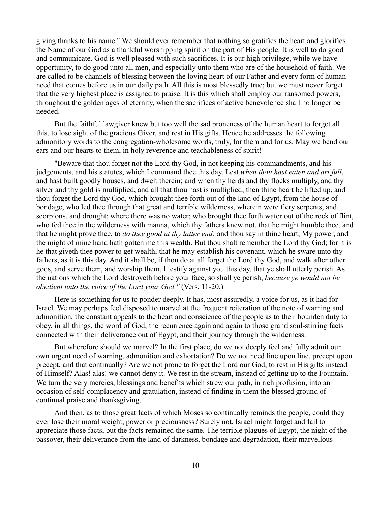giving thanks to his name." We should ever remember that nothing so gratifies the heart and glorifies the Name of our God as a thankful worshipping spirit on the part of His people. It is well to do good and communicate. God is well pleased with such sacrifices. It is our high privilege, while we have opportunity, to do good unto all men, and especially unto them who are of the household of faith. We are called to be channels of blessing between the loving heart of our Father and every form of human need that comes before us in our daily path. All this is most blessedly true; but we must never forget that the very highest place is assigned to praise. It is this which shall employ our ransomed powers, throughout the golden ages of eternity, when the sacrifices of active benevolence shall no longer be needed.

But the faithful lawgiver knew but too well the sad proneness of the human heart to forget all this, to lose sight of the gracious Giver, and rest in His gifts. Hence he addresses the following admonitory words to the congregation-wholesome words, truly, for them and for us. May we bend our ears and our hearts to them, in holy reverence and teachableness of spirit!

"Beware that thou forget not the Lord thy God, in not keeping his commandments, and his judgements, and his statutes, which I command thee this day. Lest *when thou hast eaten and art full*, and hast built goodly houses, and dwelt therein; and when thy herds and thy flocks multiply, and thy silver and thy gold is multiplied, and all that thou hast is multiplied; then thine heart be lifted up, and thou forget the Lord thy God, which brought thee forth out of the land of Egypt, from the house of bondage, who led thee through that great and terrible wilderness, wherein were fiery serpents, and scorpions, and drought; where there was no water; who brought thee forth water out of the rock of flint, who fed thee in the wilderness with manna, which thy fathers knew not, that he might humble thee, and that he might prove thee, to *do thee good at thy latter end:* and thou say in thine heart, My power, and the might of mine hand hath gotten me this wealth. But thou shalt remember the Lord thy God; for it is he that giveth thee power to get wealth, that he may establish his covenant, which he sware unto thy fathers, as it is this day. And it shall be, if thou do at all forget the Lord thy God, and walk after other gods, and serve them, and worship them, I testify against you this day, that ye shall utterly perish. As the nations which the Lord destroyeth before your face, so shall ye perish, *because ye would not be obedient unto the voice of the Lord your God."* (Vers. 11-20.)

Here is something for us to ponder deeply. It has, most assuredly, a voice for us, as it had for Israel. We may perhaps feel disposed to marvel at the frequent reiteration of the note of warning and admonition, the constant appeals to the heart and conscience of the people as to their bounden duty to obey, in all things, the word of God; the recurrence again and again to those grand soul-stirring facts connected with their deliverance out of Egypt, and their journey through the wilderness.

But wherefore should we marvel? In the first place, do we not deeply feel and fully admit our own urgent need of warning, admonition and exhortation? Do we not need line upon line, precept upon precept, and that continually? Are we not prone to forget the Lord our God, to rest in His gifts instead of Himself? Alas! alas! we cannot deny it. We rest in the stream, instead of getting up to the Fountain. We turn the very mercies, blessings and benefits which strew our path, in rich profusion, into an occasion of self-complacency and gratulation, instead of finding in them the blessed ground of continual praise and thanksgiving.

And then, as to those great facts of which Moses so continually reminds the people, could they ever lose their moral weight, power or preciousness? Surely not. Israel might forget and fail to appreciate those facts, but the facts remained the same. The terrible plagues of Egypt, the night of the passover, their deliverance from the land of darkness, bondage and degradation, their marvellous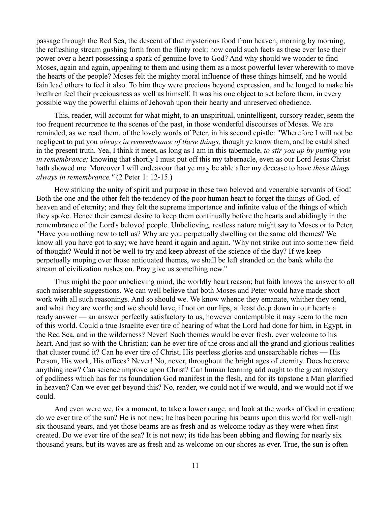passage through the Red Sea, the descent of that mysterious food from heaven, morning by morning, the refreshing stream gushing forth from the flinty rock: how could such facts as these ever lose their power over a heart possessing a spark of genuine love to God? And why should we wonder to find Moses, again and again, appealing to them and using them as a most powerful lever wherewith to move the hearts of the people? Moses felt the mighty moral influence of these things himself, and he would fain lead others to feel it also. To him they were precious beyond expression, and he longed to make his brethren feel their preciousness as well as himself. It was his one object to set before them, in every possible way the powerful claims of Jehovah upon their hearty and unreserved obedience.

This, reader, will account for what might, to an unspiritual, unintelligent, cursory reader, seem the too frequent recurrence to the scenes of the past, in those wonderful discourses of Moses. We are reminded, as we read them, of the lovely words of Peter, in his second epistle: "Wherefore I will not be negligent to put you *always in remembrance of these things,* though ye know them, and be established in the present truth. Yea, I think it meet, as long as I am in this tabernacle, *to stir you up by putting you in remembrance;* knowing that shortly I must put off this my tabernacle, even as our Lord Jesus Christ hath showed me. Moreover I will endeavour that ye may be able after my decease to have *these things always in remembrance."* (2 Peter 1: 12-15.)

How striking the unity of spirit and purpose in these two beloved and venerable servants of God! Both the one and the other felt the tendency of the poor human heart to forget the things of God, of heaven and of eternity; and they felt the supreme importance and infinite value of the things of which they spoke. Hence their earnest desire to keep them continually before the hearts and abidingly in the remembrance of the Lord's beloved people. Unbelieving, restless nature might say to Moses or to Peter, "Have you nothing new to tell us? Why are you perpetually dwelling on the same old themes? We know all you have got to say; we have heard it again and again. 'Why not strike out into some new field of thought? Would it not be well to try and keep abreast of the science of the day? If we keep perpetually moping over those antiquated themes, we shall be left stranded on the bank while the stream of civilization rushes on. Pray give us something new."

Thus might the poor unbelieving mind, the worldly heart reason; but faith knows the answer to all such miserable suggestions. We can well believe that both Moses and Peter would have made short work with all such reasonings. And so should we. We know whence they emanate, whither they tend, and what they are worth; and we should have, if not on our lips, at least deep down in our hearts a ready answer — an answer perfectly satisfactory to us, however contemptible it may seem to the men of this world. Could a true Israelite ever tire of hearing of what the Lord had done for him, in Egypt, in the Red Sea, and in the wilderness? Never! Such themes would be ever fresh, ever welcome to his heart. And just so with the Christian; can he ever tire of the cross and all the grand and glorious realities that cluster round it? Can he ever tire of Christ, His peerless glories and unsearchable riches — His Person, His work, His offices? Never! No, never, throughout the bright ages of eternity. Does he crave anything new? Can science improve upon Christ? Can human learning add ought to the great mystery of godliness which has for its foundation God manifest in the flesh, and for its topstone a Man glorified in heaven? Can we ever get beyond this? No, reader, we could not if we would, and we would not if we could.

And even were we, for a moment, to take a lower range, and look at the works of God in creation; do we ever tire of the sun? He is not new; he has been pouring his beams upon this world for well-nigh six thousand years, and yet those beams are as fresh and as welcome today as they were when first created. Do we ever tire of the sea? It is not new; its tide has been ebbing and flowing for nearly six thousand years, but its waves are as fresh and as welcome on our shores as ever. True, the sun is often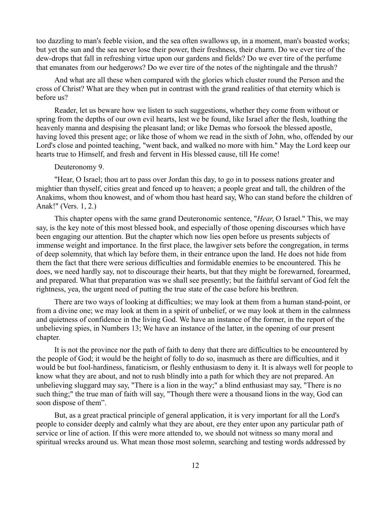too dazzling to man's feeble vision, and the sea often swallows up, in a moment, man's boasted works; but yet the sun and the sea never lose their power, their freshness, their charm. Do we ever tire of the dew-drops that fall in refreshing virtue upon our gardens and fields? Do we ever tire of the perfume that emanates from our hedgerows? Do we ever tire of the notes of the nightingale and the thrush?

And what are all these when compared with the glories which cluster round the Person and the cross of Christ? What are they when put in contrast with the grand realities of that eternity which is before us?

Reader, let us beware how we listen to such suggestions, whether they come from without or spring from the depths of our own evil hearts, lest we be found, like Israel after the flesh, loathing the heavenly manna and despising the pleasant land; or like Demas who forsook the blessed apostle, having loved this present age; or like those of whom we read in the sixth of John, who, offended by our Lord's close and pointed teaching, "went back, and walked no more with him." May the Lord keep our hearts true to Himself, and fresh and fervent in His blessed cause, till He come!

## Deuteronomy 9.

"Hear, O Israel; thou art to pass over Jordan this day, to go in to possess nations greater and mightier than thyself, cities great and fenced up to heaven; a people great and tall, the children of the Anakims, whom thou knowest, and of whom thou hast heard say, Who can stand before the children of Anak!" (Vers. 1, 2.)

This chapter opens with the same grand Deuteronomic sentence, "*Hear*, O Israel." This, we may say, is the key note of this most blessed book, and especially of those opening discourses which have been engaging our attention. But the chapter which now lies open before us presents subjects of immense weight and importance. In the first place, the lawgiver sets before the congregation, in terms of deep solemnity, that which lay before them, in their entrance upon the land. He does not hide from them the fact that there were serious difficulties and formidable enemies to be encountered. This he does, we need hardly say, not to discourage their hearts, but that they might be forewarned, forearmed, and prepared. What that preparation was we shall see presently; but the faithful servant of God felt the rightness, yea, the urgent need of putting the true state of the case before his brethren.

There are two ways of looking at difficulties; we may look at them from a human stand-point, or from a divine one; we may look at them in a spirit of unbelief, or we may look at them in the calmness and quietness of confidence in the living God. We have an instance of the former, in the report of the unbelieving spies, in Numbers 13; We have an instance of the latter, in the opening of our present chapter.

It is not the province nor the path of faith to deny that there are difficulties to be encountered by the people of God; it would be the height of folly to do so, inasmuch as there are difficulties, and it would be but fool-hardiness, fanaticism, or fleshly enthusiasm to deny it. It is always well for people to know what they are about, and not to rush blindly into a path for which they are not prepared. An unbelieving sluggard may say, "There is a lion in the way;" a blind enthusiast may say, "There is no such thing;" the true man of faith will say, "Though there were a thousand lions in the way, God can soon dispose of them".

But, as a great practical principle of general application, it is very important for all the Lord's people to consider deeply and calmly what they are about, ere they enter upon any particular path of service or line of action. If this were more attended to, we should not witness so many moral and spiritual wrecks around us. What mean those most solemn, searching and testing words addressed by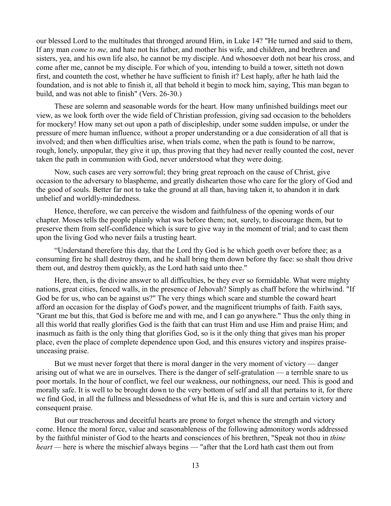our blessed Lord to the multitudes that thronged around Him, in Luke 14? "He turned and said to them, If any man *come to me,* and hate not his father, and mother his wife, and children, and brethren and sisters, yea, and his own life also, he cannot be my disciple. And whosoever doth not bear his cross, and come after me, cannot be my disciple. For which of you, intending to build a tower, sitteth not down first, and counteth the cost, whether he have sufficient to finish it? Lest haply, after he hath laid the foundation, and is not able to finish it, all that behold it begin to mock him, saying, This man began to build, and was not able to finish" (Vers. 26-30.)

These are solemn and seasonable words for the heart. How many unfinished buildings meet our view, as we look forth over the wide field of Christian profession, giving sad occasion to the beholders for mockery! How many set out upon a path of discipleship, under some sudden impulse, or under the pressure of mere human influence, without a proper understanding or a due consideration of all that is involved; and then when difficulties arise, when trials come, when the path is found to be narrow, rough, lonely, unpopular, they give it up, thus proving that they had never really counted the cost, never taken the path in communion with God, never understood what they were doing.

Now, such cases are very sorrowful; they bring great reproach on the cause of Christ, give occasion to the adversary to blaspheme, and greatly dishearten those who care for the glory of God and the good of souls. Better far not to take the ground at all than, having taken it, to abandon it in dark unbelief and worldly-mindedness.

Hence, therefore, we can perceive the wisdom and faithfulness of the opening words of our chapter. Moses tells the people plainly what was before them; not, surely, to discourage them, but to preserve them from self-confidence which is sure to give way in the moment of trial; and to cast them upon the living God who never fails a trusting heart.

"Understand therefore this day, that the Lord thy God is he which goeth over before thee; as a consuming fire he shall destroy them, and he shall bring them down before thy face: so shalt thou drive them out, and destroy them quickly, as the Lord hath said unto thee."

Here, then, is the divine answer to all difficulties, be they ever so formidable. What were mighty nations, great cities, fenced walls, in the presence of Jehovah? Simply as chaff before the whirlwind. "If God be for us, who can be against us?" The very things which scare and stumble the coward heart afford an occasion for the display of God's power, and the magnificent triumphs of faith. Faith says, "Grant me but this, that God is before me and with me, and I can go anywhere." Thus the only thing in all this world that really glorifies God is the faith that can trust Him and use Him and praise Him; and inasmuch as faith is the only thing that glorifies God, so is it the only thing that gives man his proper place, even the place of complete dependence upon God, and this ensures victory and inspires praiseunceasing praise.

But we must never forget that there is moral danger in the very moment of victory — danger arising out of what we are in ourselves. There is the danger of self-gratulation — a terrible snare to us poor mortals. In the hour of conflict, we feel our weakness, our nothingness, our need. This is good and morally safe. It is well to be brought down to the very bottom of self and all that pertains to it, for there we find God, in all the fullness and blessedness of what He is, and this is sure and certain victory and consequent praise.

But our treacherous and deceitful hearts are prone to forget whence the strength and victory come. Hence the moral force, value and seasonableness of the following admonitory words addressed by the faithful minister of God to the hearts and consciences of his brethren, "Speak not thou in *thine heart —* here is where the mischief always begins — "after that the Lord hath cast them out from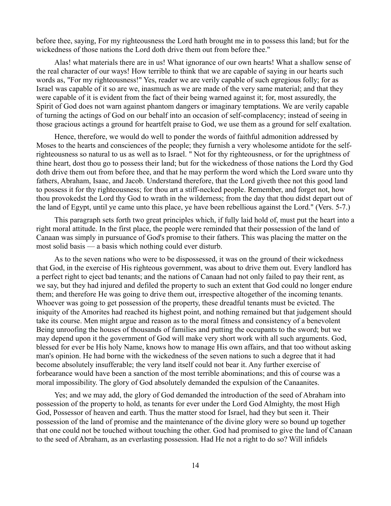before thee, saying, For my righteousness the Lord hath brought me in to possess this land; but for the wickedness of those nations the Lord doth drive them out from before thee."

Alas! what materials there are in us! What ignorance of our own hearts! What a shallow sense of the real character of our ways! How terrible to think that we are capable of saying in our hearts such words as, "For my righteousness!" Yes, reader we are verily capable of such egregious folly; for as Israel was capable of it so are we, inasmuch as we are made of the very same material; and that they were capable of it is evident from the fact of their being warned against it; for, most assuredly, the Spirit of God does not warn against phantom dangers or imaginary temptations. We are verily capable of turning the actings of God on our behalf into an occasion of self-complacency; instead of seeing in those gracious actings a ground for heartfelt praise to God, we use them as a ground for self exaltation.

Hence, therefore, we would do well to ponder the words of faithful admonition addressed by Moses to the hearts and consciences of the people; they furnish a very wholesome antidote for the selfrighteousness so natural to us as well as to Israel. " Not for thy righteousness, or for the uprightness of thine heart, dost thou go to possess their land; but for the wickedness of those nations the Lord thy God doth drive them out from before thee, and that he may perform the word which the Lord sware unto thy fathers, Abraham, Isaac, and Jacob. Understand therefore, that the Lord giveth thee not this good land to possess it for thy righteousness; for thou art a stiff-necked people. Remember, and forget not, how thou provokedst the Lord thy God to wrath in the wilderness; from the day that thou didst depart out of the land of Egypt, until ye came unto this place, ye have been rebellious against the Lord." (Vers. 5-7.)

This paragraph sets forth two great principles which, if fully laid hold of, must put the heart into a right moral attitude. In the first place, the people were reminded that their possession of the land of Canaan was simply in pursuance of God's promise to their fathers. This was placing the matter on the most solid basis — a basis which nothing could ever disturb.

As to the seven nations who were to be dispossessed, it was on the ground of their wickedness that God, in the exercise of His righteous government, was about to drive them out. Every landlord has a perfect right to eject bad tenants; and the nations of Canaan had not only failed to pay their rent, as we say, but they had injured and defiled the property to such an extent that God could no longer endure them; and therefore He was going to drive them out, irrespective altogether of the incoming tenants. Whoever was going to get possession of the property, these dreadful tenants must be evicted. The iniquity of the Amorites had reached its highest point, and nothing remained but that judgement should take its course. Men might argue and reason as to the moral fitness and consistency of a benevolent Being unroofing the houses of thousands of families and putting the occupants to the sword; but we may depend upon it the government of God will make very short work with all such arguments. God, blessed for ever be His holy Name, knows how to manage His own affairs, and that too without asking man's opinion. He had borne with the wickedness of the seven nations to such a degree that it had become absolutely insufferable; the very land itself could not bear it. Any further exercise of forbearance would have been a sanction of the most terrible abominations; and this of course was a moral impossibility. The glory of God absolutely demanded the expulsion of the Canaanites.

Yes; and we may add, the glory of God demanded the introduction of the seed of Abraham into possession of the property to hold, as tenants for ever under the Lord God Almighty, the most High God, Possessor of heaven and earth. Thus the matter stood for Israel, had they but seen it. Their possession of the land of promise and the maintenance of the divine glory were so bound up together that one could not be touched without touching the other. God had promised to give the land of Canaan to the seed of Abraham, as an everlasting possession. Had He not a right to do so? Will infidels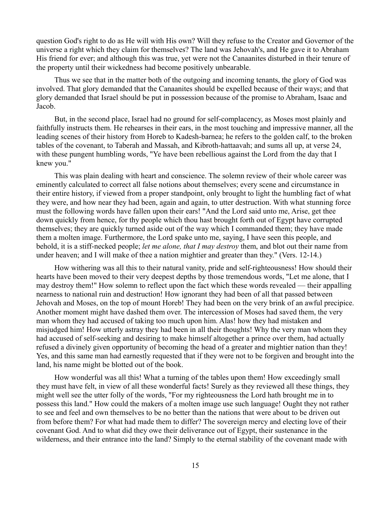question God's right to do as He will with His own? Will they refuse to the Creator and Governor of the universe a right which they claim for themselves? The land was Jehovah's, and He gave it to Abraham His friend for ever; and although this was true, yet were not the Canaanites disturbed in their tenure of the property until their wickedness had become positively unbearable.

Thus we see that in the matter both of the outgoing and incoming tenants, the glory of God was involved. That glory demanded that the Canaanites should be expelled because of their ways; and that glory demanded that Israel should be put in possession because of the promise to Abraham, Isaac and Jacob.

But, in the second place, Israel had no ground for self-complacency, as Moses most plainly and faithfully instructs them. He rehearses in their ears, in the most touching and impressive manner, all the leading scenes of their history from Horeb to Kadesh-barnea; he refers to the golden calf, to the broken tables of the covenant, to Taberah and Massah, and Kibroth-hattaavah; and sums all up, at verse 24, with these pungent humbling words, "Ye have been rebellious against the Lord from the day that I knew you."

This was plain dealing with heart and conscience. The solemn review of their whole career was eminently calculated to correct all false notions about themselves; every scene and circumstance in their entire history, if viewed from a proper standpoint, only brought to light the humbling fact of what they were, and how near they had been, again and again, to utter destruction. With what stunning force must the following words have fallen upon their ears! "And the Lord said unto me, Arise, get thee down quickly from hence, for thy people which thou hast brought forth out of Egypt have corrupted themselves; they are quickly turned aside out of the way which I commanded them; they have made them a molten image. Furthermore, the Lord spake unto me, saying, I have seen this people, and behold, it is a stiff-necked people; *let me alone, that I may destroy* them, and blot out their name from under heaven; and I will make of thee a nation mightier and greater than they." (Vers. 12-14.)

How withering was all this to their natural vanity, pride and self-righteousness! How should their hearts have been moved to their very deepest depths by those tremendous words, "Let me alone, that I may destroy them!" How solemn to reflect upon the fact which these words revealed — their appalling nearness to national ruin and destruction! How ignorant they had been of all that passed between Jehovah and Moses, on the top of mount Horeb! They had been on the very brink of an awful precipice. Another moment might have dashed them over. The intercession of Moses had saved them, the very man whom they had accused of taking too much upon him. Alas! how they had mistaken and misjudged him! How utterly astray they had been in all their thoughts! Why the very man whom they had accused of self-seeking and desiring to make himself altogether a prince over them, had actually refused a divinely given opportunity of becoming the head of a greater and mightier nation than they! Yes, and this same man had earnestly requested that if they were not to be forgiven and brought into the land, his name might be blotted out of the book.

How wonderful was all this! What a turning of the tables upon them! How exceedingly small they must have felt, in view of all these wonderful facts! Surely as they reviewed all these things, they might well see the utter folly of the words, "For my righteousness the Lord hath brought me in to possess this land." How could the makers of a molten image use such language! Ought they not rather to see and feel and own themselves to be no better than the nations that were about to be driven out from before them? For what had made them to differ? The sovereign mercy and electing love of their covenant God. And to what did they owe their deliverance out of Egypt, their sustenance in the wilderness, and their entrance into the land? Simply to the eternal stability of the covenant made with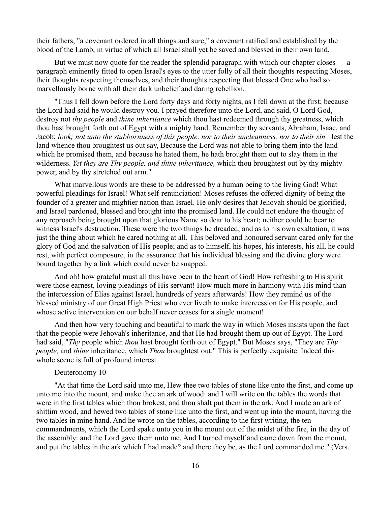their fathers, "a covenant ordered in all things and sure," a covenant ratified and established by the blood of the Lamb, in virtue of which all Israel shall yet be saved and blessed in their own land.

But we must now quote for the reader the splendid paragraph with which our chapter closes — a paragraph eminently fitted to open Israel's eyes to the utter folly of all their thoughts respecting Moses, their thoughts respecting themselves, and their thoughts respecting that blessed One who had so marvellously borne with all their dark unbelief and daring rebellion.

"Thus I fell down before the Lord forty days and forty nights, as I fell down at the first; because the Lord had said he would destroy you. I prayed therefore unto the Lord, and said, O Lord God, destroy not *thy people* and *thine inheritance* which thou hast redeemed through thy greatness, which thou hast brought forth out of Egypt with a mighty hand. Remember thy servants, Abraham, Isaac, and Jacob; *look; not unto the stubbornness of this people, nor to their uncleanness, nor to their sin :* lest the land whence thou broughtest us out say, Because the Lord was not able to bring them into the land which he promised them, and because he hated them, he hath brought them out to slay them in the wilderness. *Yet they are Thy people, and thine inheritance,* which thou broughtest out by thy mighty power, and by thy stretched out arm."

What marvellous words are these to be addressed by a human being to the living God! What powerful pleadings for Israel! What self-renunciation! Moses refuses the offered dignity of being the founder of a greater and mightier nation than Israel. He only desires that Jehovah should be glorified, and Israel pardoned, blessed and brought into the promised land. He could not endure the thought of any reproach being brought upon that glorious Name so dear to his heart; neither could he bear to witness Israel's destruction. These were the two things he dreaded; and as to his own exaltation, it was just the thing about which he cared nothing at all. This beloved and honoured servant cared only for the glory of God and the salvation of His people; and as to himself, his hopes, his interests, his all, he could rest, with perfect composure, in the assurance that his individual blessing and the divine glory were bound together by a link which could never be snapped.

And oh! how grateful must all this have been to the heart of God! How refreshing to His spirit were those earnest, loving pleadings of His servant! How much more in harmony with His mind than the intercession of Elias against Israel, hundreds of years afterwards! How they remind us of the blessed ministry of our Great High Priest who ever liveth to make intercession for His people, and whose active intervention on our behalf never ceases for a single moment!

And then how very touching and beautiful to mark the way in which Moses insists upon the fact that the people were Jehovah's inheritance, and that He had brought them up out of Egypt. The Lord had said, "*Thy* people which *thou* hast brought forth out of Egypt." But Moses says, "They are *Thy people,* and *thine* inheritance, which *Thou* broughtest out." This is perfectly exquisite. Indeed this whole scene is full of profound interest.

## Deuteronomy 10

"At that time the Lord said unto me, Hew thee two tables of stone like unto the first, and come up unto me into the mount, and make thee an ark of wood: and I will write on the tables the words that were in the first tables which thou brokest, and thou shalt put them in the ark. And I made an ark of shittim wood, and hewed two tables of stone like unto the first, and went up into the mount, having the two tables in mine hand. And he wrote on the tables, according to the first writing, the ten commandments, which the Lord spake unto you in the mount out of the midst of the fire, in the day of the assembly: and the Lord gave them unto me. And I turned myself and came down from the mount, and put the tables in the ark which I had made? and there they be, as the Lord commanded me." (Vers.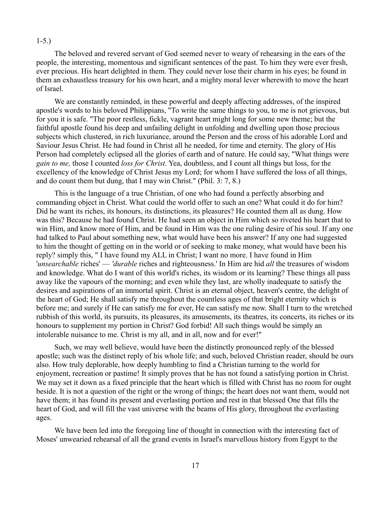#### 1-5.)

The beloved and revered servant of God seemed never to weary of rehearsing in the ears of the people, the interesting, momentous and significant sentences of the past. To him they were ever fresh, ever precious. His heart delighted in them. They could never lose their charm in his eyes; he found in them an exhaustless treasury for his own heart, and a mighty moral lever wherewith to move the heart of Israel.

We are constantly reminded, in these powerful and deeply affecting addresses, of the inspired apostle's words to his beloved Philippians, "To write the same things to you, to me is not grievous, but for you it is safe. "The poor restless, fickle, vagrant heart might long for some new theme; but the faithful apostle found his deep and unfailing delight in unfolding and dwelling upon those precious subjects which clustered, in rich luxuriance, around the Person and the cross of his adorable Lord and Saviour Jesus Christ. He had found in Christ all he needed, for time and eternity. The glory of His Person had completely eclipsed all the glories of earth and of nature. He could say, "What things were *gain to me,* those I counted *loss for Christ.* Yea, doubtless, and I count all things but loss, for the excellency of the knowledge of Christ Jesus my Lord; for whom I have suffered the loss of all things, and do count them but dung, that I may win Christ." (Phil. 3: 7, 8.)

This is the language of a true Christian, of one who had found a perfectly absorbing and commanding object in Christ. What could the world offer to such an one? What could it do for him? Did he want its riches, its honours, its distinctions, its pleasures? He counted them all as dung. How was this? Because he had found Christ. He had seen an object in Him which so riveted his heart that to win Him, and know more of Him, and be found in Him was the one ruling desire of his soul. If any one had talked to Paul about something new, what would have been his answer? If any one had suggested to him the thought of getting on in the world or of seeking to make money, what would have been his reply? simply this, " I have found my ALL in Christ; I want no more. I have found in Him '*unsearchable* riches' — *'durable* riches and righteousness.' In Him are hid *all* the treasures of wisdom and knowledge. What do I want of this world's riches, its wisdom or its learning? These things all pass away like the vapours of the morning; and even while they last, are wholly inadequate to satisfy the desires and aspirations of an immortal spirit. Christ is an eternal object, heaven's centre, the delight of the heart of God; He shall satisfy me throughout the countless ages of that bright eternity which is before me; and surely if He can satisfy me for ever, He can satisfy me now. Shall I turn to the wretched rubbish of this world, its pursuits, its pleasures, its amusements, its theatres, its concerts, its riches or its honours to supplement my portion in Christ? God forbid! All such things would be simply an intolerable nuisance to me. Christ is my all, and in all, now and for ever!"

Such, we may well believe, would have been the distinctly pronounced reply of the blessed apostle; such was the distinct reply of his whole life; and such, beloved Christian reader, should be ours also. How truly deplorable, how deeply humbling to find a Christian turning to the world for enjoyment, recreation or pastime! It simply proves that he has not found a satisfying portion in Christ. We may set it down as a fixed principle that the heart which is filled with Christ has no room for ought beside. It is not a question of the right or the wrong of things; the heart does not want them, would not have them; it has found its present and everlasting portion and rest in that blessed One that fills the heart of God, and will fill the vast universe with the beams of His glory, throughout the everlasting ages.

We have been led into the foregoing line of thought in connection with the interesting fact of Moses' unwearied rehearsal of all the grand events in Israel's marvellous history from Egypt to the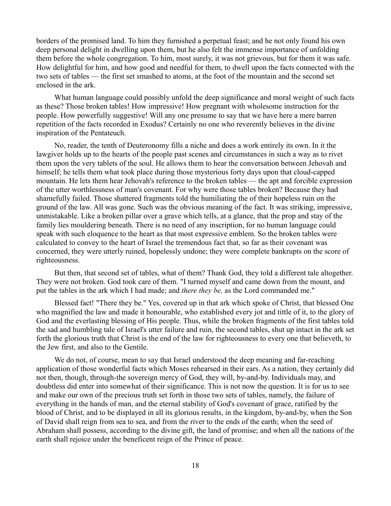borders of the promised land. To him they furnished a perpetual feast; and he not only found his own deep personal delight in dwelling upon them, but he also felt the immense importance of unfolding them before the whole congregation. To him, most surely, it was not grievous, but for them it was safe. How delightful for him, and how good and needful for them, to dwell upon the facts connected with the two sets of tables — the first set smashed to atoms, at the foot of the mountain and the second set enclosed in the ark.

What human language could possibly unfold the deep significance and moral weight of such facts as these? Those broken tables! How impressive! How pregnant with wholesome instruction for the people. How powerfully suggestive! Will any one presume to say that we have here a mere barren repetition of the facts recorded in Exodus? Certainly no one who reverently believes in the divine inspiration of the Pentateuch.

No, reader, the tenth of Deuteronomy fills a niche and does a work entirely its own. In it the lawgiver holds up to the hearts of the people past scenes and circumstances in such a way as to rivet them upon the very tablets of the soul. He allows them to hear the conversation between Jehovah and himself; he tells them what took place during those mysterious forty days upon that cloud-capped mountain. He lets them hear Jehovah's reference to the broken tables — the apt and forcible expression of the utter worthlessness of man's covenant. For why were those tables broken? Because they had shamefully failed. Those shattered fragments told the humiliating the of their hopeless ruin on the ground of the law. All was gone. Such was the obvious meaning of the fact. It was striking, impressive, unmistakable. Like a broken pillar over a grave which tells, at a glance, that the prop and stay of the family lies mouldering beneath. There is no need of any inscription, for no human language could speak with such eloquence to the heart as that most expressive emblem. So the broken tables were calculated to convey to the heart of Israel the tremendous fact that, so far as their covenant was concerned, they were utterly ruined, hopelessly undone; they were complete bankrupts on the score of righteousness.

But then, that second set of tables, what of them? Thank God, they told a different tale altogether. They were not broken. God took care of them. "I turned myself and came down from the mount, and put the tables in the ark which I had made; and *there they be,* as the Lord commanded me."

Blessed fact! "There they be." Yes, covered up in that ark which spoke of Christ, that blessed One who magnified the law and made it honourable, who established every jot and tittle of it, to the glory of God and the everlasting blessing of His people. Thus, while the broken fragments of the first tables told the sad and humbling tale of Israel's utter failure and ruin, the second tables, shut up intact in the ark set forth the glorious truth that Christ is the end of the law for righteousness to every one that believeth, to the Jew first, and also to the Gentile.

We do not, of course, mean to say that Israel understood the deep meaning and far-reaching application of those wonderful facts which Moses rehearsed in their ears. As a nation, they certainly did not then, though, through-the sovereign mercy of God, they will, by-and-by. Individuals may, and doubtless did enter into somewhat of their significance. This is not now the question. It is for us to see and make our own of the precious truth set forth in those two sets of tables, namely, the failure of everything in the hands of man, and the eternal stability of God's covenant of grace, ratified by the blood of Christ, and to be displayed in all its glorious results, in the kingdom, by-and-by, when the Son of David shall reign from sea to sea, and from the river to the ends of the earth; when the seed of Abraham shall possess, according to the divine gift, the land of promise; and when all the nations of the earth shall rejoice under the beneficent reign of the Prince of peace.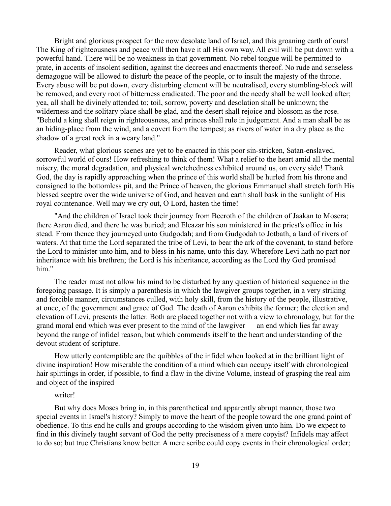Bright and glorious prospect for the now desolate land of Israel, and this groaning earth of ours! The King of righteousness and peace will then have it all His own way. All evil will be put down with a powerful hand. There will be no weakness in that government. No rebel tongue will be permitted to prate, in accents of insolent sedition, against the decrees and enactments thereof. No rude and senseless demagogue will be allowed to disturb the peace of the people, or to insult the majesty of the throne. Every abuse will be put down, every disturbing element will be neutralised, every stumbling-block will be removed, and every root of bitterness eradicated. The poor and the needy shall be well looked after; yea, all shall be divinely attended to; toil, sorrow, poverty and desolation shall be unknown; the wilderness and the solitary place shall be glad, and the desert shall rejoice and blossom as the rose. "Behold a king shall reign in righteousness, and princes shall rule in judgement. And a man shall be as an hiding-place from the wind, and a covert from the tempest; as rivers of water in a dry place as the shadow of a great rock in a weary land."

Reader, what glorious scenes are yet to be enacted in this poor sin-stricken, Satan-enslaved, sorrowful world of ours! How refreshing to think of them! What a relief to the heart amid all the mental misery, the moral degradation, and physical wretchedness exhibited around us, on every side! Thank God, the day is rapidly approaching when the prince of this world shall be hurled from his throne and consigned to the bottomless pit, and the Prince of heaven, the glorious Emmanuel shall stretch forth His blessed sceptre over the wide universe of God, and heaven and earth shall bask in the sunlight of His royal countenance. Well may we cry out, O Lord, hasten the time!

"And the children of Israel took their journey from Beeroth of the children of Jaakan to Mosera; there Aaron died, and there he was buried; and Eleazar his son ministered in the priest's office in his stead. From thence they journeyed unto Gudgodah; and from Gudgodah to Jotbath, a land of rivers of waters. At that time the Lord separated the tribe of Levi, to bear the ark of the covenant, to stand before the Lord to minister unto him, and to bless in his name, unto this day. Wherefore Levi hath no part nor inheritance with his brethren; the Lord is his inheritance, according as the Lord thy God promised him."

The reader must not allow his mind to be disturbed by any question of historical sequence in the foregoing passage. It is simply a parenthesis in which the lawgiver groups together, in a very striking and forcible manner, circumstances culled, with holy skill, from the history of the people, illustrative, at once, of the government and grace of God. The death of Aaron exhibits the former; the election and elevation of Levi, presents the latter. Both are placed together not with a view to chronology, but for the grand moral end which was ever present to the mind of the lawgiver — an end which lies far away beyond the range of infidel reason, but which commends itself to the heart and understanding of the devout student of scripture.

How utterly contemptible are the quibbles of the infidel when looked at in the brilliant light of divine inspiration! How miserable the condition of a mind which can occupy itself with chronological hair splittings in order, if possible, to find a flaw in the divine Volume, instead of grasping the real aim and object of the inspired

### writer!

But why does Moses bring in, in this parenthetical and apparently abrupt manner, those two special events in Israel's history? Simply to move the heart of the people toward the one grand point of obedience. To this end he culls and groups according to the wisdom given unto him. Do we expect to find in this divinely taught servant of God the petty preciseness of a mere copyist? Infidels may affect to do so; but true Christians know better. A mere scribe could copy events in their chronological order;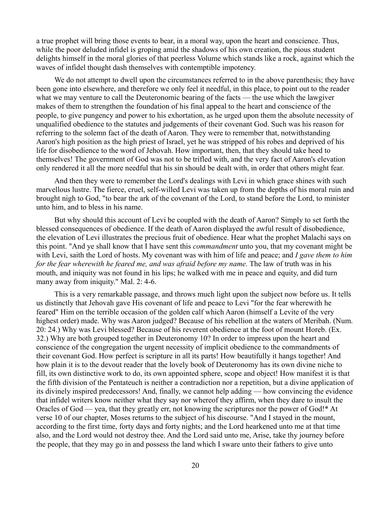a true prophet will bring those events to bear, in a moral way, upon the heart and conscience. Thus, while the poor deluded infidel is groping amid the shadows of his own creation, the pious student delights himself in the moral glories of that peerless Volume which stands like a rock, against which the waves of infidel thought dash themselves with contemptible impotency.

We do not attempt to dwell upon the circumstances referred to in the above parenthesis; they have been gone into elsewhere, and therefore we only feel it needful, in this place, to point out to the reader what we may venture to call the Deuteronomic bearing of the facts — the use which the lawgiver makes of them to strengthen the foundation of his final appeal to the heart and conscience of the people, to give pungency and power to his exhortation, as he urged upon them the absolute necessity of unqualified obedience to the statutes and judgements of their covenant God. Such was his reason for referring to the solemn fact of the death of Aaron. They were to remember that, notwithstanding Aaron's high position as the high priest of Israel, yet he was stripped of his robes and deprived of his life for disobedience to the word of Jehovah. How important, then, that they should take heed to themselves! The government of God was not to be trifled with, and the very fact of Aaron's elevation only rendered it all the more needful that his sin should be dealt with, in order that others might fear.

And then they were to remember the Lord's dealings with Levi in which grace shines with such marvellous lustre. The fierce, cruel, self-willed Levi was taken up from the depths of his moral ruin and brought nigh to God, "to bear the ark of the covenant of the Lord, to stand before the Lord, to minister unto him, and to bless in his name.

But why should this account of Levi be coupled with the death of Aaron? Simply to set forth the blessed consequences of obedience. If the death of Aaron displayed the awful result of disobedience, the elevation of Levi illustrates the precious fruit of obedience. Hear what the prophet Malachi says on this point. "And ye shall know that I have sent this *commandment* unto you, that my covenant might be with Levi, saith the Lord of hosts. My covenant was with him of life and peace; and *I gave them to him for the fear wherewith he feared me, and was afraid before my name.* The law of truth was in his mouth, and iniquity was not found in his lips; he walked with me in peace and equity, and did turn many away from iniquity." Mal. 2: 4-6.

This is a very remarkable passage, and throws much light upon the subject now before us. It tells us distinctly that Jehovah gave His covenant of life and peace to Levi "for the fear wherewith he feared" Him on the terrible occasion of the golden calf which Aaron (himself a Levite of the very highest order) made. Why was Aaron judged? Because of his rebellion at the waters of Meribah. (Num. 20: 24.) Why was Levi blessed? Because of his reverent obedience at the foot of mount Horeb. (Ex. 32.) Why are both grouped together in Deuteronomy 10? In order to impress upon the heart and conscience of the congregation the urgent necessity of implicit obedience to the commandments of their covenant God. How perfect is scripture in all its parts! How beautifully it hangs together! And how plain it is to the devout reader that the lovely book of Deuteronomy has its own divine niche to fill, its own distinctive work to do, its own appointed sphere, scope and object! How manifest it is that the fifth division of the Pentateuch is neither a contradiction nor a repetition, but a divine application of its divinely inspired predecessors! And, finally, we cannot help adding — how convincing the evidence that infidel writers know neither what they say nor whereof they affirm, when they dare to insult the Oracles of God — yea, that they greatly err, not knowing the scriptures nor the power of God!\* At verse 10 of our chapter, Moses returns to the subject of his discourse. "And I stayed in the mount, according to the first time, forty days and forty nights; and the Lord hearkened unto me at that time also, and the Lord would not destroy thee. And the Lord said unto me, Arise, take thy journey before the people, that they may go in and possess the land which I sware unto their fathers to give unto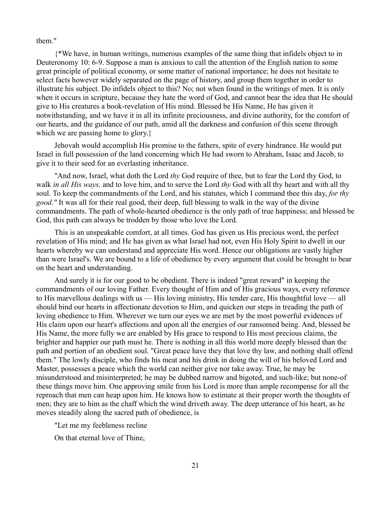them."

{\*We have, in human writings, numerous examples of the same thing that infidels object to in Deuteronomy 10: 6-9. Suppose a man is anxious to call the attention of the English nation to some great principle of political economy, or some matter of national importance; he does not hesitate to select facts however widely separated on the page of history, and group them together in order to illustrate his subject. Do infidels object to this? No; not when found in the writings of men. It is only when it occurs in scripture, because they hate the word of God, and cannot bear the idea that He should give to His creatures a book-revelation of His mind. Blessed be His Name, He has given it notwithstanding, and we have it in all its infinite preciousness, and divine authority, for the comfort of our hearts, and the guidance of our path, amid all the darkness and confusion of this scene through which we are passing home to glory.}

Jehovah would accomplish His promise to the fathers, spite of every hindrance. He would put Israel in full possession of the land concerning which He had sworn to Abraham, Isaac and Jacob, to give it to their seed for an everlasting inheritance.

"And now, Israel, what doth the Lord *thy* God require of thee, but to fear the Lord thy God, to walk *in all His ways,* and to love him, and to serve the Lord *thy* God with all thy heart and with all thy soul. To keep the commandments of the Lord, and his statutes, which I command thee this day, *for thy good."* It was all for their real good, their deep, full blessing to walk in the way of the divine commandments. The path of whole-hearted obedience is the only path of true happiness; and blessed be God, this path can always be trodden by those who love the Lord.

This is an unspeakable comfort, at all times. God has given us His precious word, the perfect revelation of His mind; and He has given as what Israel had not, even His Holy Spirit to dwell in our hearts whereby we can understand and appreciate His word. Hence our obligations are vastly higher than were Israel's. We are bound to a life of obedience by every argument that could be brought to bear on the heart and understanding.

And surely it is for our good to be obedient. There is indeed "great reward" in keeping the commandments of our loving Father. Every thought of Him and of His gracious ways, every reference to His marvellous dealings with us — His loving ministry, His tender care, His thoughtful love — all should bind our hearts in affectionate devotion to Him, and quicken our steps in treading the path of loving obedience to Him. Wherever we turn our eyes we are met by the most powerful evidences of His claim upon our heart's affections and upon all the energies of our ransomed being. And, blessed be His Name, the more fully we are enabled by His grace to respond to His most precious claims, the brighter and happier our path must he. There is nothing in all this world more deeply blessed than the path and portion of an obedient soul. "Great peace have they that love thy law, and nothing shall offend them." The lowly disciple, who finds his meat and his drink in doing the will of his beloved Lord and Master, possesses a peace which the world can neither give nor take away. True, he may be misunderstood and misinterpreted; he may be dubbed narrow and bigoted, and such-like; but none-of these things move him. One approving smile from his Lord is more than ample recompense for all the reproach that men can heap upon him. He knows how to estimate at their proper worth the thoughts of men; they are to him as the chaff which the wind driveth away. The deep utterance of his heart, as he moves steadily along the sacred path of obedience, is

"Let me my feebleness recline

On that eternal love of Thine,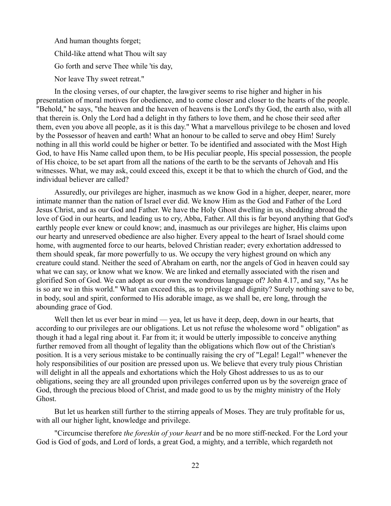And human thoughts forget; Child-like attend what Thou wilt say Go forth and serve Thee while 'tis day, Nor leave Thy sweet retreat."

In the closing verses, of our chapter, the lawgiver seems to rise higher and higher in his presentation of moral motives for obedience, and to come closer and closer to the hearts of the people. "Behold," he says, "the heaven and the heaven of heavens is the Lord's thy God, the earth also, with all that therein is. Only the Lord had a delight in thy fathers to love them, and he chose their seed after them, even you above all people, as it is this day." What a marvellous privilege to be chosen and loved by the Possessor of heaven and earth! What an honour to be called to serve and obey Him! Surely nothing in all this world could be higher or better. To be identified and associated with the Most High God, to have His Name called upon them, to be His peculiar people, His special possession, the people of His choice, to be set apart from all the nations of the earth to be the servants of Jehovah and His witnesses. What, we may ask, could exceed this, except it be that to which the church of God, and the individual believer are called?

Assuredly, our privileges are higher, inasmuch as we know God in a higher, deeper, nearer, more intimate manner than the nation of Israel ever did. We know Him as the God and Father of the Lord Jesus Christ, and as our God and Father. We have the Holy Ghost dwelling in us, shedding abroad the love of God in our hearts, and leading us to cry, Abba, Father. All this is far beyond anything that God's earthly people ever knew or could know; and, inasmuch as our privileges are higher, His claims upon our hearty and unreserved obedience are also higher. Every appeal to the heart of Israel should come home, with augmented force to our hearts, beloved Christian reader; every exhortation addressed to them should speak, far more powerfully to us. We occupy the very highest ground on which any creature could stand. Neither the seed of Abraham on earth, nor the angels of God in heaven could say what we can say, or know what we know. We are linked and eternally associated with the risen and glorified Son of God. We can adopt as our own the wondrous language of? John 4.17, and say, "As he is so are we in this world." What can exceed this, as to privilege and dignity? Surely nothing save to be, in body, soul and spirit, conformed to His adorable image, as we shall be, ere long, through the abounding grace of God.

Well then let us ever bear in mind — yea, let us have it deep, deep, down in our hearts, that according to our privileges are our obligations. Let us not refuse the wholesome word " obligation" as though it had a legal ring about it. Far from it; it would be utterly impossible to conceive anything further removed from all thought of legality than the obligations which flow out of the Christian's position. It is a very serious mistake to be continually raising the cry of "Legal! Legal!" whenever the holy responsibilities of our position are pressed upon us. We believe that every truly pious Christian will delight in all the appeals and exhortations which the Holy Ghost addresses to us as to our obligations, seeing they are all grounded upon privileges conferred upon us by the sovereign grace of God, through the precious blood of Christ, and made good to us by the mighty ministry of the Holy Ghost.

But let us hearken still further to the stirring appeals of Moses. They are truly profitable for us, with all our higher light, knowledge and privilege.

"Circumcise therefore *the foreskin of your heart* and be no more stiff-necked. For the Lord your God is God of gods, and Lord of lords, a great God, a mighty, and a terrible, which regardeth not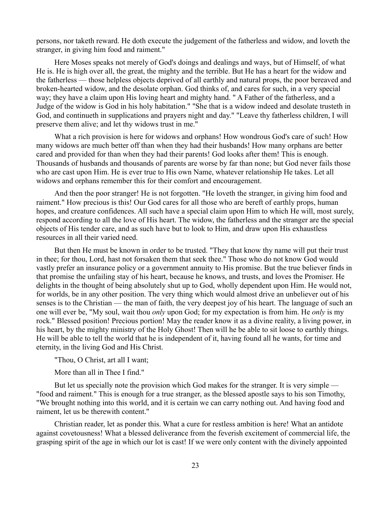persons, nor taketh reward. He doth execute the judgement of the fatherless and widow, and loveth the stranger, in giving him food and raiment."

Here Moses speaks not merely of God's doings and dealings and ways, but of Himself, of what He is. He is high over all, the great, the mighty and the terrible. But He has a heart for the widow and the fatherless — those helpless objects deprived of all earthly and natural props, the poor bereaved and broken-hearted widow, and the desolate orphan. God thinks of, and cares for such, in a very special way; they have a claim upon His loving heart and mighty hand. " A Father of the fatherless, and a Judge of the widow is God in his holy habitation." "She that is a widow indeed and desolate trusteth in God, and continueth in supplications and prayers night and day." "Leave thy fatherless children, I will preserve them alive; and let thy widows trust in me."

What a rich provision is here for widows and orphans! How wondrous God's care of such! How many widows are much better off than when they had their husbands! How many orphans are better cared and provided for than when they had their parents! God looks after them! This is enough. Thousands of husbands and thousands of parents are worse by far than none; but God never fails those who are cast upon Him. He is ever true to His own Name, whatever relationship He takes. Let all widows and orphans remember this for their comfort and encouragement.

And then the poor stranger! He is not forgotten. "He loveth the stranger, in giving him food and raiment." How precious is this! Our God cares for all those who are bereft of earthly props, human hopes, and creature confidences. All such have a special claim upon Him to which He will, most surely, respond according to all the love of His heart. The widow, the fatherless and the stranger are the special objects of His tender care, and as such have but to look to Him, and draw upon His exhaustless resources in all their varied need.

But then He must be known in order to be trusted. "They that know thy name will put their trust in thee; for thou, Lord, hast not forsaken them that seek thee." Those who do not know God would vastly prefer an insurance policy or a government annuity to His promise. But the true believer finds in that promise the unfailing stay of his heart, because he knows, and trusts, and loves the Promiser. He delights in the thought of being absolutely shut up to God, wholly dependent upon Him. He would not, for worlds, be in any other position. The very thing which would almost drive an unbeliever out of his senses is to the Christian — the man of faith, the very deepest joy of his heart. The language of such an one will ever be, "My soul, wait thou *only* upon God; for my expectation is from him. He *only* is my rock." Blessed position! Precious portion! May the reader know it as a divine reality, a living power, in his heart, by the mighty ministry of the Holy Ghost! Then will he be able to sit loose to earthly things. He will be able to tell the world that he is independent of it, having found all he wants, for time and eternity, in the living God and His Christ.

"Thou, O Christ, art all I want;

More than all in Thee I find."

But let us specially note the provision which God makes for the stranger. It is very simple — "food and raiment." This is enough for a true stranger, as the blessed apostle says to his son Timothy, "We brought nothing into this world, and it is certain we can carry nothing out. And having food and raiment, let us be therewith content."

Christian reader, let as ponder this. What a cure for restless ambition is here! What an antidote against covetousness! What a blessed deliverance from the feverish excitement of commercial life, the grasping spirit of the age in which our lot is cast! If we were only content with the divinely appointed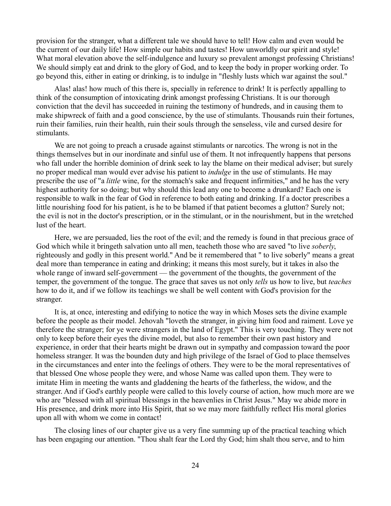provision for the stranger, what a different tale we should have to tell! How calm and even would be the current of our daily life! How simple our habits and tastes! How unworldly our spirit and style! What moral elevation above the self-indulgence and luxury so prevalent amongst professing Christians! We should simply eat and drink to the glory of God, and to keep the body in proper working order. To go beyond this, either in eating or drinking, is to indulge in "fleshly lusts which war against the soul."

Alas! alas! how much of this there is, specially in reference to drink! It is perfectly appalling to think of the consumption of intoxicating drink amongst professing Christians. It is our thorough conviction that the devil has succeeded in ruining the testimony of hundreds, and in causing them to make shipwreck of faith and a good conscience, by the use of stimulants. Thousands ruin their fortunes, ruin their families, ruin their health, ruin their souls through the senseless, vile and cursed desire for stimulants.

We are not going to preach a crusade against stimulants or narcotics. The wrong is not in the things themselves but in our inordinate and sinful use of them. It not infrequently happens that persons who fall under the horrible dominion of drink seek to lay the blame on their medical adviser; but surely no proper medical man would ever advise his patient to *indulge* in the use of stimulants. He may prescribe the use of "a *little* wine, for the stomach's sake and frequent infirmities," and he has the very highest authority for so doing; but why should this lead any one to become a drunkard? Each one is responsible to walk in the fear of God in reference to both eating and drinking. If a doctor prescribes a little nourishing food for his patient, is he to be blamed if that patient becomes a glutton? Surely not; the evil is not in the doctor's prescription, or in the stimulant, or in the nourishment, but in the wretched lust of the heart.

Here, we are persuaded, lies the root of the evil; and the remedy is found in that precious grace of God which while it bringeth salvation unto all men, teacheth those who are saved "to live *soberly*, righteously and godly in this present world." And be it remembered that " to live soberly" means a great deal more than temperance in eating and drinking; it means this most surely, but it takes in also the whole range of inward self-government — the government of the thoughts, the government of the temper, the government of the tongue. The grace that saves us not only *tells* us how to live, but *teaches* how to do it, and if we follow its teachings we shall be well content with God's provision for the stranger.

It is, at once, interesting and edifying to notice the way in which Moses sets the divine example before the people as their model. Jehovah "loveth the stranger, in giving him food and raiment. Love ye therefore the stranger; for ye were strangers in the land of Egypt." This is very touching. They were not only to keep before their eyes the divine model, but also to remember their own past history and experience, in order that their hearts might be drawn out in sympathy and compassion toward the poor homeless stranger. It was the bounden duty and high privilege of the Israel of God to place themselves in the circumstances and enter into the feelings of others. They were to be the moral representatives of that blessed One whose people they were, and whose Name was called upon them. They were to imitate Him in meeting the wants and gladdening the hearts of the fatherless, the widow, and the stranger. And if God's earthly people were called to this lovely course of action, how much more are we who are "blessed with all spiritual blessings in the heavenlies in Christ Jesus." May we abide more in His presence, and drink more into His Spirit, that so we may more faithfully reflect His moral glories upon all with whom we come in contact!

The closing lines of our chapter give us a very fine summing up of the practical teaching which has been engaging our attention. "Thou shalt fear the Lord thy God; him shalt thou serve, and to him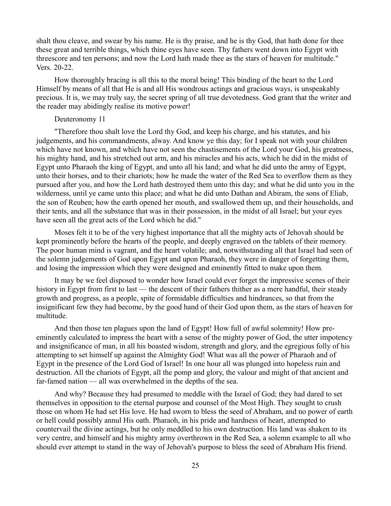shalt thou cleave, and swear by his name. He is thy praise, and he is thy God, that hath done for thee these great and terrible things, which thine eyes have seen. Thy fathers went down into Egypt with threescore and ten persons; and now the Lord hath made thee as the stars of heaven for multitude." Vers. 20-22.

How thoroughly bracing is all this to the moral being! This binding of the heart to the Lord Himself by means of all that He is and all His wondrous actings and gracious ways, is unspeakably precious. It is, we may truly say, the secret spring of all true devotedness. God grant that the writer and the reader may abidingly realise its motive power!

# Deuteronomy 11

"Therefore thou shalt love the Lord thy God, and keep his charge, and his statutes, and his judgements, and his commandments, alway. And know ye this day; for I speak not with your children which have not known, and which have not seen the chastisements of the Lord your God, his greatness, his mighty hand, and his stretched out arm, and his miracles and his acts, which he did in the midst of Egypt unto Pharaoh the king of Egypt, and unto all his land; and what he did unto the army of Egypt, unto their horses, and to their chariots; how he made the water of the Red Sea to overflow them as they pursued after you, and how the Lord hath destroyed them unto this day; and what he did unto you in the wilderness, until ye came unto this place; and what he did unto Dathan and Abiram, the sons of Eliab, the son of Reuben; how the earth opened her mouth, and swallowed them up, and their households, and their tents, and all the substance that was in their possession, in the midst of all Israel; but your eyes have seen all the great acts of the Lord which he did."

Moses felt it to be of the very highest importance that all the mighty acts of Jehovah should be kept prominently before the hearts of the people, and deeply engraved on the tablets of their memory. The poor human mind is vagrant, and the heart volatile; and, notwithstanding all that Israel had seen of the solemn judgements of God upon Egypt and upon Pharaoh, they were in danger of forgetting them, and losing the impression which they were designed and eminently fitted to make upon them.

It may be we feel disposed to wonder how Israel could ever forget the impressive scenes of their history in Egypt from first to last — the descent of their fathers thither as a mere handful, their steady growth and progress, as a people, spite of formidable difficulties and hindrances, so that from the insignificant few they had become, by the good hand of their God upon them, as the stars of heaven for multitude.

And then those ten plagues upon the land of Egypt! How full of awful solemnity! How preeminently calculated to impress the heart with a sense of the mighty power of God, the utter impotency and insignificance of man, in all his boasted wisdom, strength and glory, and the egregious folly of his attempting to set himself up against the Almighty God! What was all the power of Pharaoh and of Egypt in the presence of the Lord God of Israel! In one hour all was plunged into hopeless ruin and destruction. All the chariots of Egypt, all the pomp and glory, the valour and might of that ancient and far-famed nation — all was overwhelmed in the depths of the sea.

And why? Because they had presumed to meddle with the Israel of God; they had dared to set themselves in opposition to the eternal purpose and counsel of the Most High. They sought to crush those on whom He had set His love. He had sworn to bless the seed of Abraham, and no power of earth or hell could possibly annul His oath. Pharaoh, in his pride and hardness of heart, attempted to countervail the divine actings, but he only meddled to his own destruction. His land was shaken to its very centre, and himself and his mighty army overthrown in the Red Sea, a solemn example to all who should ever attempt to stand in the way of Jehovah's purpose to bless the seed of Abraham His friend.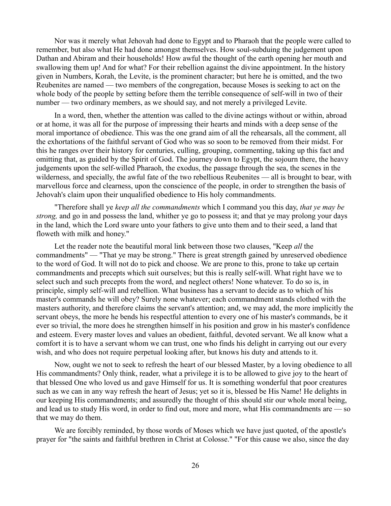Nor was it merely what Jehovah had done to Egypt and to Pharaoh that the people were called to remember, but also what He had done amongst themselves. How soul-subduing the judgement upon Dathan and Abiram and their households! How awful the thought of the earth opening her mouth and swallowing them up! And for what? For their rebellion against the divine appointment. In the history given in Numbers, Korah, the Levite, is the prominent character; but here he is omitted, and the two Reubenites are named — two members of the congregation, because Moses is seeking to act on the whole body of the people by setting before them the terrible consequence of self-will in two of their number — two ordinary members, as we should say, and not merely a privileged Levite.

In a word, then, whether the attention was called to the divine actings without or within, abroad or at home, it was all for the purpose of impressing their hearts and minds with a deep sense of the moral importance of obedience. This was the one grand aim of all the rehearsals, all the comment, all the exhortations of the faithful servant of God who was so soon to be removed from their midst. For this he ranges over their history for centuries, culling, grouping, commenting, taking up this fact and omitting that, as guided by the Spirit of God. The journey down to Egypt, the sojourn there, the heavy judgements upon the self-willed Pharaoh, the exodus, the passage through the sea, the scenes in the wilderness, and specially, the awful fate of the two rebellious Reubenites — all is brought to bear, with marvellous force and clearness, upon the conscience of the people, in order to strengthen the basis of Jehovah's claim upon their unqualified obedience to His holy commandments.

"Therefore shall ye *keep all the commandments* which I command you this day, *that ye may be strong,* and go in and possess the land, whither ye go to possess it; and that ye may prolong your days in the land, which the Lord sware unto your fathers to give unto them and to their seed, a land that floweth with milk and honey."

Let the reader note the beautiful moral link between those two clauses, "Keep *all* the commandments" — "That ye may be strong." There is great strength gained by unreserved obedience to the word of God. It will not do to pick and choose. We are prone to this, prone to take up certain commandments and precepts which suit ourselves; but this is really self-will. What right have we to select such and such precepts from the word, and neglect others! None whatever. To do so is, in principle, simply self-will and rebellion. What business has a servant to decide as to which of his master's commands he will obey? Surely none whatever; each commandment stands clothed with the masters authority, and therefore claims the servant's attention; and, we may add, the more implicitly the servant obeys, the more he bends his respectful attention to every one of his master's commands, be it ever so trivial, the more does he strengthen himself in his position and grow in his master's confidence and esteem. Every master loves and values an obedient, faithful, devoted servant. We all know what a comfort it is to have a servant whom we can trust, one who finds his delight in carrying out our every wish, and who does not require perpetual looking after, but knows his duty and attends to it.

Now, ought we not to seek to refresh the heart of our blessed Master, by a loving obedience to all His commandments? Only think, reader, what a privilege it is to be allowed to give joy to the heart of that blessed One who loved us and gave Himself for us. It is something wonderful that poor creatures such as we can in any way refresh the heart of Jesus; yet so it is, blessed be His Name! He delights in our keeping His commandments; and assuredly the thought of this should stir our whole moral being, and lead us to study His word, in order to find out, more and more, what His commandments are — so that we may do them.

We are forcibly reminded, by those words of Moses which we have just quoted, of the apostle's prayer for "the saints and faithful brethren in Christ at Colosse." "For this cause we also, since the day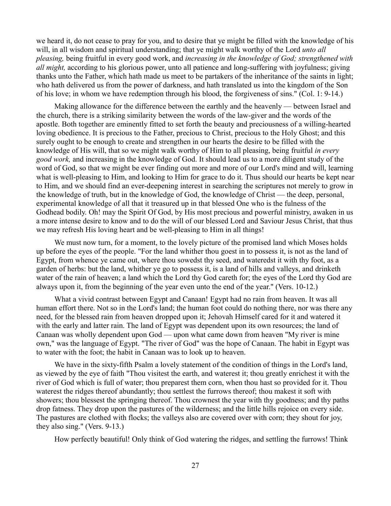we heard it, do not cease to pray for you, and to desire that ye might be filled with the knowledge of his will, in all wisdom and spiritual understanding; that ye might walk worthy of the Lord *unto all pleasing,* being fruitful in every good work, and *increasing in the knowledge of God; strengthened with all might,* according to his glorious power, unto all patience and long-suffering with joyfulness; giving thanks unto the Father, which hath made us meet to be partakers of the inheritance of the saints in light; who hath delivered us from the power of darkness, and hath translated us into the kingdom of the Son of his love; in whom we have redemption through his blood, the forgiveness of sins." (Col. 1: 9-14.)

Making allowance for the difference between the earthly and the heavenly — between Israel and the church, there is a striking similarity between the words of the law-giver and the words of the apostle. Both together are eminently fitted to set forth the beauty and preciousness of a willing-hearted loving obedience. It is precious to the Father, precious to Christ, precious to the Holy Ghost; and this surely ought to be enough to create and strengthen in our hearts the desire to be filled with the knowledge of His will, that so we might walk worthy of Him to all pleasing, being fruitful *in every good work,* and increasing in the knowledge of God. It should lead us to a more diligent study of the word of God, so that we might be ever finding out more and more of our Lord's mind and will, learning what is well-pleasing to Him, and looking to Him for grace to do it. Thus should our hearts be kept near to Him, and we should find an ever-deepening interest in searching the scriptures not merely to grow in the knowledge of truth, but in the knowledge of God, the knowledge of Christ — the deep, personal, experimental knowledge of all that it treasured up in that blessed One who is the fulness of the Godhead bodily. Oh! may the Spirit Of God, by His most precious and powerful ministry, awaken in us a more intense desire to know and to do the will of our blessed Lord and Saviour Jesus Christ, that thus we may refresh His loving heart and be well-pleasing to Him in all things!

We must now turn, for a moment, to the lovely picture of the promised land which Moses holds up before the eyes of the people. "For the land whither thou goest in to possess it, is not as the land of Egypt, from whence ye came out, where thou sowedst thy seed, and wateredst it with thy foot, as a garden of herbs: but the land, whither ye go to possess it, is a land of hills and valleys, and drinketh water of the rain of heaven; a land which the Lord thy God careth for; the eyes of the Lord thy God are always upon it, from the beginning of the year even unto the end of the year." (Vers. 10-12.)

What a vivid contrast between Egypt and Canaan! Egypt had no rain from heaven. It was all human effort there. Not so in the Lord's land; the human foot could do nothing there, nor was there any need, for the blessed rain from heaven dropped upon it; Jehovah Himself cared for it and watered it with the early and latter rain. The land of Egypt was dependent upon its own resources; the land of Canaan was wholly dependent upon God — upon what came down from heaven "My river is mine own," was the language of Egypt. "The river of God" was the hope of Canaan. The habit in Egypt was to water with the foot; the habit in Canaan was to look up to heaven.

We have in the sixty-fifth Psalm a lovely statement of the condition of things in the Lord's land, as viewed by the eye of faith "Thou visitest the earth, and waterest it; thou greatly enrichest it with the river of God which is full of water; thou preparest them corn, when thou hast so provided for it. Thou waterest the ridges thereof abundantly; thou settlest the furrows thereof; thou makest it soft with showers; thou blessest the springing thereof. Thou crownest the year with thy goodness; and thy paths drop fatness. They drop upon the pastures of the wilderness; and the little hills rejoice on every side. The pastures are clothed with flocks; the valleys also are covered over with corn; they shout for joy, they also sing." (Vers. 9-13.)

How perfectly beautiful! Only think of God watering the ridges, and settling the furrows! Think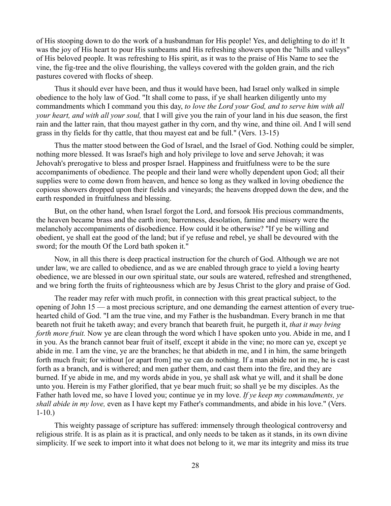of His stooping down to do the work of a husbandman for His people! Yes, and delighting to do it! It was the joy of His heart to pour His sunbeams and His refreshing showers upon the "hills and valleys" of His beloved people. It was refreshing to His spirit, as it was to the praise of His Name to see the vine, the fig-tree and the olive flourishing, the valleys covered with the golden grain, and the rich pastures covered with flocks of sheep.

Thus it should ever have been, and thus it would have been, had Israel only walked in simple obedience to the holy law of God. "It shall come to pass, if ye shall hearken diligently unto my commandments which I command you this day, *to love the Lord your God, and to serve him with all your heart, and with all your soul,* that I will give you the rain of your land in his due season, the first rain and the latter rain, that thou mayest gather in thy corn, and thy wine, and thine oil. And I will send grass in thy fields for thy cattle, that thou mayest eat and be full." (Vers. 13-15)

Thus the matter stood between the God of Israel, and the Israel of God. Nothing could be simpler, nothing more blessed. It was Israel's high and holy privilege to love and serve Jehovah; it was Jehovah's prerogative to bless and prosper Israel. Happiness and fruitfulness were to be the sure accompaniments of obedience. The people and their land were wholly dependent upon God; all their supplies were to come down from heaven, and hence so long as they walked in loving obedience the copious showers dropped upon their fields and vineyards; the heavens dropped down the dew, and the earth responded in fruitfulness and blessing.

But, on the other hand, when Israel forgot the Lord, and forsook His precious commandments, the heaven became brass and the earth iron; barrenness, desolation, famine and misery were the melancholy accompaniments of disobedience. How could it be otherwise? "If ye be willing and obedient, ye shall eat the good of the land; but if ye refuse and rebel, ye shall be devoured with the sword; for the mouth Of the Lord bath spoken it."

Now, in all this there is deep practical instruction for the church of God. Although we are not under law, we are called to obedience, and as we are enabled through grace to yield a loving hearty obedience, we are blessed in our own spiritual state, our souls are watered, refreshed and strengthened, and we bring forth the fruits of righteousness which are by Jesus Christ to the glory and praise of God.

The reader may refer with much profit, in connection with this great practical subject, to the opening of John 15 — a most precious scripture, and one demanding the earnest attention of every truehearted child of God. "I am the true vine, and my Father is the husbandman. Every branch in me that beareth not fruit he taketh away; and every branch that beareth fruit, he purgeth it, *that it may bring forth more fruit.* Now ye are clean through the word which I have spoken unto you. Abide in me, and I in you. As the branch cannot bear fruit of itself, except it abide in the vine; no more can ye, except ye abide in me. I am the vine, ye are the branches; he that abideth in me, and I in him, the same bringeth forth much fruit; for without [or apart from] me ye can do nothing. If a man abide not in me, he is cast forth as a branch, and is withered; and men gather them, and cast them into the fire, and they are burned. If ye abide in me, and my words abide in you, ye shall ask what ye will, and it shall be done unto you. Herein is my Father glorified, that ye bear much fruit; so shall ye be my disciples. As the Father hath loved me, so have I loved you; continue ye in my love. *If ye keep my commandments, ye shall abide in my love,* even as I have kept my Father's commandments, and abide in his love." (Vers. 1-10.)

This weighty passage of scripture has suffered: immensely through theological controversy and religious strife. It is as plain as it is practical, and only needs to be taken as it stands, in its own divine simplicity. If we seek to import into it what does not belong to it, we mar its integrity and miss its true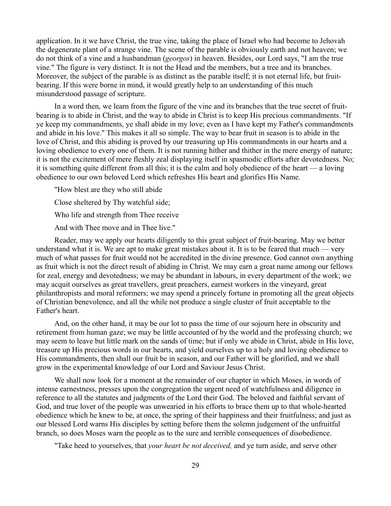application. In it we have Christ, the true vine, taking the place of Israel who had become to Jehovah the degenerate plant of a strange vine. The scene of the parable is obviously earth and not heaven; we do not think of a vine and a husbandman (*georgos*) in heaven. Besides, our Lord says, "I am the true vine." The figure is very distinct. It is not the Head and the members, but a tree and its branches. Moreover, the subject of the parable is as distinct as the parable itself; it is not eternal life, but fruitbearing. If this were borne in mind, it would greatly help to an understanding of this much misunderstood passage of scripture.

In a word then, we learn from the figure of the vine and its branches that the true secret of fruitbearing is to abide in Christ, and the way to abide in Christ is to keep His precious commandments. "If ye keep my commandments, ye shall abide in my love; even as I have kept my Father's commandments and abide in his love." This makes it all so simple. The way to bear fruit in season is to abide in the love of Christ, and this abiding is proved by our treasuring up His commandments in our hearts and a loving obedience to every one of them. It is not running hither and thither in the mere energy of nature; it is not the excitement of mere fleshly zeal displaying itself in spasmodic efforts after devotedness. No; it is something quite different from all this; it is the calm and holy obedience of the heart — a loving obedience to our own beloved Lord which refreshes His heart and glorifies His Name.

"How blest are they who still abide Close sheltered by Thy watchful side; Who life and strength from Thee receive And with Thee move and in Thee live."

Reader, may we apply our hearts diligently to this great subject of fruit-bearing. May we better understand what it is. We are apt to make great mistakes about it. It is to be feared that much — very much of what passes for fruit would not be accredited in the divine presence. God cannot own anything as fruit which is not the direct result of abiding in Christ. We may earn a great name among our fellows for zeal, energy and devotedness; we may be abundant in labours, in every department of the work; we may acquit ourselves as great travellers, great preachers, earnest workers in the vineyard, great philanthropists and moral reformers; we may spend a princely fortune in promoting all the great objects of Christian benevolence, and all the while not produce a single cluster of fruit acceptable to the Father's heart.

And, on the other hand, it may be our lot to pass the time of our sojourn here in obscurity and retirement from human gaze; we may be little accounted of by the world and the professing church; we may seem to leave but little mark on the sands of time; but if only we abide in Christ, abide in His love, treasure up His precious words in our hearts, and yield ourselves up to a holy and loving obedience to His commandments, then shall our fruit be in season, and our Father will be glorified, and we shall grow in the experimental knowledge of our Lord and Saviour Jesus Christ.

We shall now look for a moment at the remainder of our chapter in which Moses, in words of intense earnestness, presses upon the congregation the urgent need of watchfulness and diligence in reference to all the statutes and judgments of the Lord their God. The beloved and faithful servant of God, and true lover of the people was unwearied in his efforts to brace them up to that whole-hearted obedience which he knew to be, at once, the spring of their happiness and their fruitfulness; and just as our blessed Lord warns His disciples by setting before them the solemn judgement of the unfruitful branch, so does Moses warn the people as to the sure and terrible consequences of disobedience.

"Take heed to yourselves, that *your heart be not deceived,* and ye turn aside, and serve other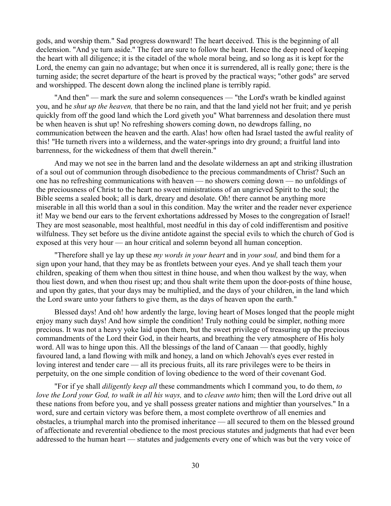gods, and worship them." Sad progress downward! The heart deceived. This is the beginning of all declension. "And ye turn aside." The feet are sure to follow the heart. Hence the deep need of keeping the heart with all diligence; it is the citadel of the whole moral being, and so long as it is kept for the Lord, the enemy can gain no advantage; but when once it is surrendered, all is really gone; there is the turning aside; the secret departure of the heart is proved by the practical ways; "other gods" are served and worshipped. The descent down along the inclined plane is terribly rapid.

"And then" — mark the sure and solemn consequences — "the Lord's wrath be kindled against you, and he *shut up the heaven,* that there be no rain, and that the land yield not her fruit; and ye perish quickly from off the good land which the Lord giveth you" What barrenness and desolation there must be when heaven is shut up! No refreshing showers coming down, no dewdrops falling, no communication between the heaven and the earth. Alas! how often had Israel tasted the awful reality of this! "He turneth rivers into a wilderness, and the water-springs into dry ground; a fruitful land into barrenness, for the wickedness of them that dwell therein."

And may we not see in the barren land and the desolate wilderness an apt and striking illustration of a soul out of communion through disobedience to the precious commandments of Christ? Such an one has no refreshing communications with heaven — no showers coming down — no unfoldings of the preciousness of Christ to the heart no sweet ministrations of an ungrieved Spirit to the soul; the Bible seems a sealed book; all is dark, dreary and desolate. Oh! there cannot be anything more miserable in all this world than a soul in this condition. May the writer and the reader never experience it! May we bend our ears to the fervent exhortations addressed by Moses to the congregation of Israel! They are most seasonable, most healthful, most needful in this day of cold indifferentism and positive wilfulness. They set before us the divine antidote against the special evils to which the church of God is exposed at this very hour — an hour critical and solemn beyond all human conception.

"Therefore shall ye lay up these *my words in your heart* and in *your soul,* and bind them for a sign upon your hand, that they may be as frontlets between your eyes. And ye shall teach them your children, speaking of them when thou sittest in thine house, and when thou walkest by the way, when thou liest down, and when thou risest up; and thou shalt write them upon the door-posts of thine house, and upon thy gates, that your days may be multiplied, and the days of your children, in the land which the Lord sware unto your fathers to give them, as the days of heaven upon the earth."

Blessed days! And oh! how ardently the large, loving heart of Moses longed that the people might enjoy many such days! And how simple the condition! Truly nothing could be simpler, nothing more precious. It was not a heavy yoke laid upon them, but the sweet privilege of treasuring up the precious commandments of the Lord their God, in their hearts, and breathing the very atmosphere of His holy word. All was to hinge upon this. All the blessings of the land of Canaan — that goodly, highly favoured land, a land flowing with milk and honey, a land on which Jehovah's eyes ever rested in loving interest and tender care — all its precious fruits, all its rare privileges were to be theirs in perpetuity, on the one simple condition of loving obedience to the word of their covenant God.

"For if ye shall *diligently keep all* these commandments which I command you, to do them, *to love the Lord your God, to walk in all his ways,* and to *cleave unto* him; then will the Lord drive out all these nations from before you, and ye shall possess greater nations and mightier than yourselves." In a word, sure and certain victory was before them, a most complete overthrow of all enemies and obstacles, a triumphal march into the promised inheritance — all secured to them on the blessed ground of affectionate and reverential obedience to the most precious statutes and judgments that had ever been addressed to the human heart — statutes and judgements every one of which was but the very voice of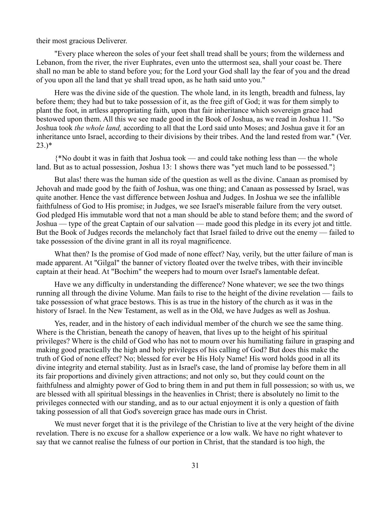their most gracious Deliverer.

"Every place whereon the soles of your feet shall tread shall be yours; from the wilderness and Lebanon, from the river, the river Euphrates, even unto the uttermost sea, shall your coast be. There shall no man be able to stand before you; for the Lord your God shall lay the fear of you and the dread of you upon all the land that ye shall tread upon, as he hath said unto you."

Here was the divine side of the question. The whole land, in its length, breadth and fulness, lay before them; they had but to take possession of it, as the free gift of God; it was for them simply to plant the foot, in artless appropriating faith, upon that fair inheritance which sovereign grace had bestowed upon them. All this we see made good in the Book of Joshua, as we read in Joshua 11. "So Joshua took *the whole land,* according to all that the Lord said unto Moses; and Joshua gave it for an inheritance unto Israel, according to their divisions by their tribes. And the land rested from war." (Ver.  $23.$ <sup>\*</sup>

{\*No doubt it was in faith that Joshua took — and could take nothing less than — the whole land. But as to actual possession, Joshua 13: 1 shows there was "yet much land to be possessed."}

But alas! there was the human side of the question as well as the divine. Canaan as promised by Jehovah and made good by the faith of Joshua, was one thing; and Canaan as possessed by Israel, was quite another. Hence the vast difference between Joshua and Judges. In Joshua we see the infallible faithfulness of God to His promise; in Judges, we see Israel's miserable failure from the very outset. God pledged His immutable word that not a man should be able to stand before them; and the sword of Joshua — type of the great Captain of our salvation — made good this pledge in its every jot and tittle. But the Book of Judges records the melancholy fact that Israel failed to drive out the enemy — failed to take possession of the divine grant in all its royal magnificence.

What then? Is the promise of God made of none effect? Nay, verily, but the utter failure of man is made apparent. At "Gilgal" the banner of victory floated over the twelve tribes, with their invincible captain at their head. At "Bochim" the weepers had to mourn over Israel's lamentable defeat.

Have we any difficulty in understanding the difference? None whatever; we see the two things running all through the divine Volume. Man fails to rise to the height of the divine revelation — fails to take possession of what grace bestows. This is as true in the history of the church as it was in the history of Israel. In the New Testament, as well as in the Old, we have Judges as well as Joshua.

Yes, reader, and in the history of each individual member of the church we see the same thing. Where is the Christian, beneath the canopy of heaven, that lives up to the height of his spiritual privileges? Where is the child of God who has not to mourn over his humiliating failure in grasping and making good practically the high and holy privileges of his calling of God? But does this make the truth of God of none effect? No; blessed for ever be His Holy Name! His word holds good in all its divine integrity and eternal stability. Just as in Israel's case, the land of promise lay before them in all its fair proportions and divinely given attractions; and not only so, but they could count on the faithfulness and almighty power of God to bring them in and put them in full possession; so with us, we are blessed with all spiritual blessings in the heavenlies in Christ; there is absolutely no limit to the privileges connected with our standing, and as to our actual enjoyment it is only a question of faith taking possession of all that God's sovereign grace has made ours in Christ.

We must never forget that it is the privilege of the Christian to live at the very height of the divine revelation. There is no excuse for a shallow experience or a low walk. We have no right whatever to say that we cannot realise the fulness of our portion in Christ, that the standard is too high, the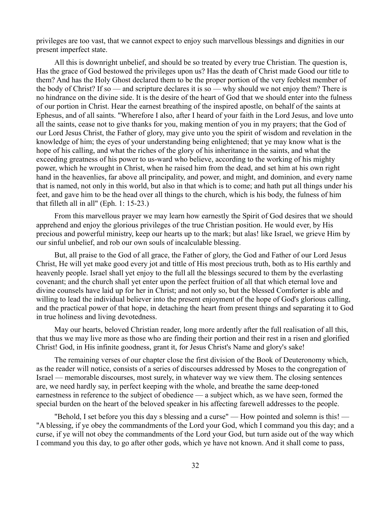privileges are too vast, that we cannot expect to enjoy such marvellous blessings and dignities in our present imperfect state.

All this is downright unbelief, and should be so treated by every true Christian. The question is, Has the grace of God bestowed the privileges upon us? Has the death of Christ made Good our title to them? And has the Holy Ghost declared them to be the proper portion of the very feeblest member of the body of Christ? If so — and scripture declares it is so — why should we not enjoy them? There is no hindrance on the divine side. It is the desire of the heart of God that we should enter into the fulness of our portion in Christ. Hear the earnest breathing of the inspired apostle, on behalf of the saints at Ephesus, and of all saints. "Wherefore I also, after I heard of your faith in the Lord Jesus, and love unto all the saints, cease not to give thanks for you, making mention of you in my prayers; that the God of our Lord Jesus Christ, the Father of glory, may give unto you the spirit of wisdom and revelation in the knowledge of him; the eyes of your understanding being enlightened; that ye may know what is the hope of his calling, and what the riches of the glory of his inheritance in the saints, and what the exceeding greatness of his power to us-ward who believe, according to the working of his mighty power, which he wrought in Christ, when he raised him from the dead, and set him at his own right hand in the heavenlies, far above all principality, and power, and might, and dominion, and every name that is named, not only in this world, but also in that which is to come; and hath put all things under his feet, and gave him to be the head over all things to the church, which is his body, the fulness of him that filleth all in all" (Eph. 1: 15-23.)

From this marvellous prayer we may learn how earnestly the Spirit of God desires that we should apprehend and enjoy the glorious privileges of the true Christian position. He would ever, by His precious and powerful ministry, keep our hearts up to the mark; but alas! like Israel, we grieve Him by our sinful unbelief, and rob our own souls of incalculable blessing.

But, all praise to the God of all grace, the Father of glory, the God and Father of our Lord Jesus Christ, He will yet make good every jot and tittle of His most precious truth, both as to His earthly and heavenly people. Israel shall yet enjoy to the full all the blessings secured to them by the everlasting covenant; and the church shall yet enter upon the perfect fruition of all that which eternal love and divine counsels have laid up for her in Christ; and not only so, but the blessed Comforter is able and willing to lead the individual believer into the present enjoyment of the hope of God's glorious calling, and the practical power of that hope, in detaching the heart from present things and separating it to God in true holiness and living devotedness.

May our hearts, beloved Christian reader, long more ardently after the full realisation of all this, that thus we may live more as those who are finding their portion and their rest in a risen and glorified Christ! God, in His infinite goodness, grant it, for Jesus Christ's Name and glory's sake!

The remaining verses of our chapter close the first division of the Book of Deuteronomy which, as the reader will notice, consists of a series of discourses addressed by Moses to the congregation of Israel — memorable discourses, most surely, in whatever way we view them. The closing sentences are, we need hardly say, in perfect keeping with the whole, and breathe the same deep-toned earnestness in reference to the subject of obedience — a subject which, as we have seen, formed the special burden on the heart of the beloved speaker in his affecting farewell addresses to the people.

"Behold, I set before you this day s blessing and a curse" — How pointed and solemn is this! — "A blessing, if ye obey the commandments of the Lord your God, which I command you this day; and a curse, if ye will not obey the commandments of the Lord your God, but turn aside out of the way which I command you this day, to go after other gods, which ye have not known. And it shall come to pass,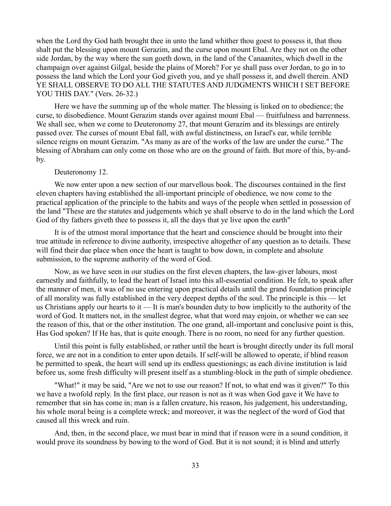when the Lord thy God hath brought thee in unto the land whither thou goest to possess it, that thou shalt put the blessing upon mount Gerazim, and the curse upon mount Ebal. Are they not on the other side Jordan, by the way where the sun goeth down, in the land of the Canaanites, which dwell in the champaign over against Gilgal, beside the plains of Moreh? For ye shall pass over Jordan, to go in to possess the land which the Lord your God giveth you, and ye shall possess it, and dwell therein. AND YE SHALL OBSERVE TO DO ALL THE STATUTES AND JUDGMENTS WHICH I SET BEFORE YOU THIS DAY." (Vers. 26-32.)

Here we have the summing up of the whole matter. The blessing is linked on to obedience; the curse, to disobedience. Mount Gerazim stands over against mount Ebal — fruitfulness and barrenness. We shall see, when we come to Deuteronomy 27, that mount Gerazim and its blessings are entirely passed over. The curses of mount Ebal fall, with awful distinctness, on Israel's ear, while terrible silence reigns on mount Gerazim. "As many as are of the works of the law are under the curse." The blessing of Abraham can only come on those who are on the ground of faith. But more of this, by-andby.

## Deuteronomy 12.

We now enter upon a new section of our marvellous book. The discourses contained in the first eleven chapters having established the all-important principle of obedience, we now come to the practical application of the principle to the habits and ways of the people when settled in possession of the land "These are the statutes and judgements which ye shall observe to do in the land which the Lord God of thy fathers giveth thee to possess it, all the days that ye live upon the earth"

It is of the utmost moral importance that the heart and conscience should be brought into their true attitude in reference to divine authority, irrespective altogether of any question as to details. These will find their due place when once the heart is taught to bow down, in complete and absolute submission, to the supreme authority of the word of God.

Now, as we have seen in our studies on the first eleven chapters, the law-giver labours, most earnestly and faithfully, to lead the heart of Israel into this all-essential condition. He felt, to speak after the manner of men, it was of no use entering upon practical details until the grand foundation principle of all morality was fully established in the very deepest depths of the soul. The principle is this — let us Christians apply our hearts to it — It is man's bounden duty to bow implicitly to the authority of the word of God. It matters not, in the smallest degree, what that word may enjoin, or whether we can see the reason of this, that or the other institution. The one grand, all-important and conclusive point is this, Has God spoken? If He has, that is quite enough. There is no room, no need for any further question.

Until this point is fully established, or rather until the heart is brought directly under its full moral force, we are not in a condition to enter upon details. If self-will be allowed to operate, if blind reason be permitted to speak, the heart will send up its endless questionings; as each divine institution is laid before us, some fresh difficulty will present itself as a stumbling-block in the path of simple obedience.

"What!" it may be said, "Are we not to use our reason? If not, to what end was it given?" To this we have a twofold reply. In the first place, our reason is not as it was when God gave it We have to remember that sin has come in; man is a fallen creature, his reason, his judgement, his understanding, his whole moral being is a complete wreck; and moreover, it was the neglect of the word of God that caused all this wreck and ruin.

And, then, in the second place, we must bear in mind that if reason were in a sound condition, it would prove its soundness by bowing to the word of God. But it is not sound; it is blind and utterly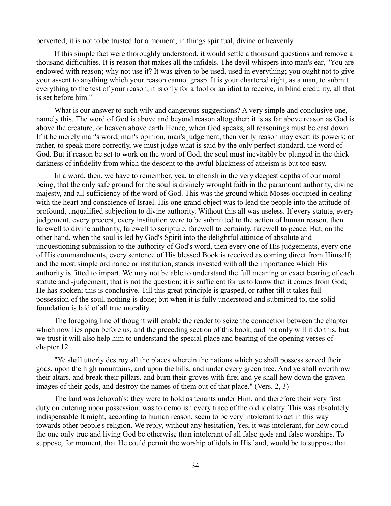perverted; it is not to be trusted for a moment, in things spiritual, divine or heavenly.

If this simple fact were thoroughly understood, it would settle a thousand questions and remove a thousand difficulties. It is reason that makes all the infidels. The devil whispers into man's ear, "You are endowed with reason; why not use it? It was given to be used, used in everything; you ought not to give your assent to anything which your reason cannot grasp. It is your chartered right, as a man, to submit everything to the test of your reason; it is only for a fool or an idiot to receive, in blind credulity, all that is set before him."

What is our answer to such wily and dangerous suggestions? A very simple and conclusive one, namely this. The word of God is above and beyond reason altogether; it is as far above reason as God is above the creature, or heaven above earth Hence, when God speaks, all reasonings must be cast down If it be merely man's word, man's opinion, man's judgement, then verily reason may exert its powers; or rather, to speak more correctly, we must judge what is said by the only perfect standard, the word of God. But if reason be set to work on the word of God, the soul must inevitably be plunged in the thick darkness of infidelity from which the descent to the awful blackness of atheism is but too easy.

In a word, then, we have to remember, yea, to cherish in the very deepest depths of our moral being, that the only safe ground for the soul is divinely wrought faith in the paramount authority, divine majesty, and all-sufficiency of the word of God. This was the ground which Moses occupied in dealing with the heart and conscience of Israel. His one grand object was to lead the people into the attitude of profound, unqualified subjection to divine authority. Without this all was useless. If every statute, every judgement, every precept, every institution were to be submitted to the action of human reason, then farewell to divine authority, farewell to scripture, farewell to certainty, farewell to peace. But, on the other hand, when the soul is led by God's Spirit into the delightful attitude of absolute and unquestioning submission to the authority of God's word, then every one of His judgements, every one of His commandments, every sentence of His blessed Book is received as coming direct from Himself; and the most simple ordinance or institution, stands invested with all the importance which His authority is fitted to impart. We may not be able to understand the full meaning or exact bearing of each statute and -judgement; that is not the question; it is sufficient for us to know that it comes from God; He has spoken; this is conclusive. Till this great principle is grasped, or rather till it takes full possession of the soul, nothing is done; but when it is fully understood and submitted to, the solid foundation is laid of all true morality.

The foregoing line of thought will enable the reader to seize the connection between the chapter which now lies open before us, and the preceding section of this book; and not only will it do this, but we trust it will also help him to understand the special place and bearing of the opening verses of chapter 12.

"Ye shall utterly destroy all the places wherein the nations which ye shall possess served their gods, upon the high mountains, and upon the hills, and under every green tree. And ye shall overthrow their altars, and break their pillars, and burn their groves with fire; and ye shall hew down the graven images of their gods, and destroy the names of them out of that place." (Vers. 2, 3)

The land was Jehovah's; they were to hold as tenants under Him, and therefore their very first duty on entering upon possession, was to demolish every trace of the old idolatry. This was absolutely indispensable It might, according to human reason, seem to be very intolerant to act in this way towards other people's religion. We reply, without any hesitation, Yes, it was intolerant, for how could the one only true and living God be otherwise than intolerant of all false gods and false worships. To suppose, for moment, that He could permit the worship of idols in His land, would be to suppose that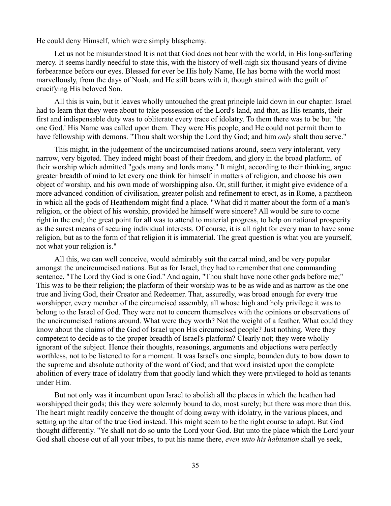He could deny Himself, which were simply blasphemy.

Let us not be misunderstood It is not that God does not bear with the world, in His long-suffering mercy. It seems hardly needful to state this, with the history of well-nigh six thousand years of divine forbearance before our eyes. Blessed for ever be His holy Name, He has borne with the world most marvellously, from the days of Noah, and He still bears with it, though stained with the guilt of crucifying His beloved Son.

All this is vain, but it leaves wholly untouched the great principle laid down in our chapter. Israel had to learn that they were about to take possession of the Lord's land, and that, as His tenants, their first and indispensable duty was to obliterate every trace of idolatry. To them there was to be but "the one God.' His Name was called upon them. They were His people, and He could not permit them to have fellowship with demons. "Thou shalt worship the Lord thy God; and him *only* shalt thou serve."

This might, in the judgement of the uncircumcised nations around, seem very intolerant, very narrow, very bigoted. They indeed might boast of their freedom, and glory in the broad platform. of their worship which admitted "gods many and lords many." It might, according to their thinking, argue greater breadth of mind to let every one think for himself in matters of religion, and choose his own object of worship, and his own mode of worshipping also. Or, still further, it might give evidence of a more advanced condition of civilisation, greater polish and refinement to erect, as in Rome, a pantheon in which all the gods of Heathendom might find a place. "What did it matter about the form of a man's religion, or the object of his worship, provided he himself were sincere? All would be sure to come right in the end; the great point for all was to attend to material progress, to help on national prosperity as the surest means of securing individual interests. Of course, it is all right for every man to have some religion, but as to the form of that religion it is immaterial. The great question is what you are yourself, not what your religion is."

All this, we can well conceive, would admirably suit the carnal mind, and be very popular amongst the uncircumcised nations. But as for Israel, they had to remember that one commanding sentence, "The Lord thy God is one God." And again, "Thou shalt have none other gods before me;" This was to be their religion; the platform of their worship was to be as wide and as narrow as the one true and living God, their Creator and Redeemer. That, assuredly, was broad enough for every true worshipper, every member of the circumcised assembly, all whose high and holy privilege it was to belong to the Israel of God. They were not to concern themselves with the opinions or observations of the uncircumcised nations around. What were they worth? Not the weight of a feather. What could they know about the claims of the God of Israel upon His circumcised people? Just nothing. Were they competent to decide as to the proper breadth of Israel's platform? Clearly not; they were wholly ignorant of the subject. Hence their thoughts, reasonings, arguments and objections were perfectly worthless, not to be listened to for a moment. It was Israel's one simple, bounden duty to bow down to the supreme and absolute authority of the word of God; and that word insisted upon the complete abolition of every trace of idolatry from that goodly land which they were privileged to hold as tenants under Him.

But not only was it incumbent upon Israel to abolish all the places in which the heathen had worshipped their gods; this they were solemnly bound to do, most surely; but there was more than this. The heart might readily conceive the thought of doing away with idolatry, in the various places, and setting up the altar of the true God instead. This might seem to be the right course to adopt. But God thought differently. "Ye shall not do so unto the Lord your God. But unto the place which the Lord your God shall choose out of all your tribes, to put his name there, *even unto his habitation* shall ye seek,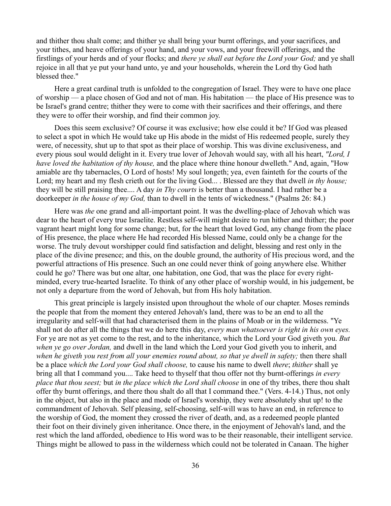and thither thou shalt come; and thither ye shall bring your burnt offerings, and your sacrifices, and your tithes, and heave offerings of your hand, and your vows, and your freewill offerings, and the firstlings of your herds and of your flocks; and *there ye shall eat before the Lord your God;* and ye shall rejoice in all that ye put your hand unto, ye and your households, wherein the Lord thy God hath blessed thee."

Here a great cardinal truth is unfolded to the congregation of Israel. They were to have one place of worship — a place chosen of God and not of man. His habitation — the place of His presence was to be Israel's grand centre; thither they were to come with their sacrifices and their offerings, and there they were to offer their worship, and find their common joy.

Does this seem exclusive? Of course it was exclusive; how else could it be? If God was pleased to select a spot in which He would take up His abode in the midst of His redeemed people, surely they were, of necessity, shut up to that spot as their place of worship. This was divine exclusiveness, and every pious soul would delight in it. Every true lover of Jehovah would say, with all his heart, *"Lord, I have loved the habitation of thy house,* and the place where thine honour dwelleth." And, again, "How amiable are thy tabernacles, O Lord of hosts! My soul longeth; yea, even fainteth for the courts of the Lord; my heart and my flesh crieth out for the living God... . Blessed are they that dwell *in thy house;* they will be still praising thee.... A day *in Thy courts* is better than a thousand. I had rather be a doorkeeper *in the house of my God,* than to dwell in the tents of wickedness." (Psalms 26: 84.)

Here was *the* one grand and all-important point. It was the dwelling-place of Jehovah which was dear to the heart of every true Israelite. Restless self-will might desire to run hither and thither; the poor vagrant heart might long for some change; but, for the heart that loved God, any change from the place of His presence, the place where He had recorded His blessed Name, could only be a change for the worse. The truly devout worshipper could find satisfaction and delight, blessing and rest only in the place of the divine presence; and this, on the double ground, the authority of His precious word, and the powerful attractions of His presence. Such an one could never think of going anywhere else. Whither could he go? There was but one altar, one habitation, one God, that was the place for every rightminded, every true-hearted Israelite. To think of any other place of worship would, in his judgement, be not only a departure from the word of Jehovah, but from His holy habitation.

This great principle is largely insisted upon throughout the whole of our chapter. Moses reminds the people that from the moment they entered Jehovah's land, there was to be an end to all the irregularity and self-will that had characterised them in the plains of Moab or in the wilderness. "Ye shall not do after all the things that we do here this day, *every man whatsoever is right in his own eyes.* For ye are not as yet come to the rest, and to the inheritance, which the Lord your God giveth you. *But when ye go over Jordan,* and dwell in the land which the Lord your God giveth you to inherit, and *when he giveth you rest from all your enemies round about, so that ye dwell in safety;* then there shall be a place *which the Lord your God shall choose,* to cause his name to dwell *there*; *thither* shall ye bring all that I command you.... Take heed to thyself that thou offer not thy burnt-offerings *in every place that thou seest;* but *in the place which the Lord shall choose* in one of thy tribes, there thou shalt offer thy burnt offerings, and there thou shalt do all that I command thee." (Vers. 4-14.) Thus, not only in the object, but also in the place and mode of Israel's worship, they were absolutely shut up! to the commandment of Jehovah. Self pleasing, self-choosing, self-will was to have an end, in reference to the worship of God, the moment they crossed the river of death, and, as a redeemed people planted their foot on their divinely given inheritance. Once there, in the enjoyment of Jehovah's land, and the rest which the land afforded, obedience to His word was to be their reasonable, their intelligent service. Things might be allowed to pass in the wilderness which could not be tolerated in Canaan. The higher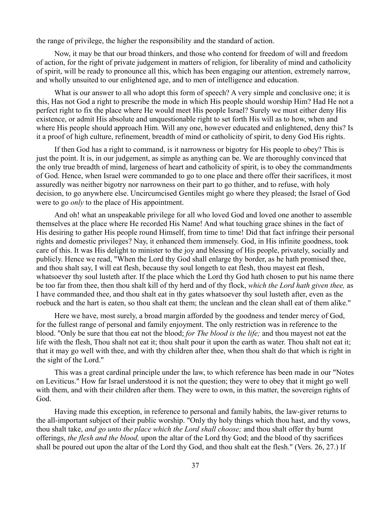the range of privilege, the higher the responsibility and the standard of action.

Now, it may be that our broad thinkers, and those who contend for freedom of will and freedom of action, for the right of private judgement in matters of religion, for liberality of mind and catholicity of spirit, will be ready to pronounce all this, which has been engaging our attention, extremely narrow, and wholly unsuited to our enlightened age, and to men of intelligence and education.

What is our answer to all who adopt this form of speech? A very simple and conclusive one; it is this, Has not God a right to prescribe the mode in which His people should worship Him? Had He not a perfect right to fix the place where He would meet His people Israel? Surely we must either deny His existence, or admit His absolute and unquestionable right to set forth His will as to how, when and where His people should approach Him. Will any one, however educated and enlightened, deny this? Is it a proof of high culture, refinement, breadth of mind or catholicity of spirit, to deny God His rights.

If then God has a right to command, is it narrowness or bigotry for His people to obey? This is just the point. It is, in our judgement, as simple as anything can be. We are thoroughly convinced that the only true breadth of mind, largeness of heart and catholicity of spirit, is to obey the commandments of God. Hence, when Israel were commanded to go to one place and there offer their sacrifices, it most assuredly was neither bigotry nor narrowness on their part to go thither, and to refuse, with holy decision, to go anywhere else. Uncircumcised Gentiles might go where they pleased; the Israel of God were to go *only* to the place of His appointment.

And oh! what an unspeakable privilege for all who loved God and loved one another to assemble themselves at the place where He recorded His Name! And what touching grace shines in the fact of His desiring to gather His people round Himself, from time to time! Did that fact infringe their personal rights and domestic privileges? Nay, it enhanced them immensely. God, in His infinite goodness, took care of this. It was His delight to minister to the joy and blessing of His people, privately, socially and publicly. Hence we read, "When the Lord thy God shall enlarge thy border, as he hath promised thee, and thou shalt say, I will eat flesh, because thy soul longeth to eat flesh, thou mayest eat flesh, whatsoever thy soul lusteth after. If the place which the Lord thy God hath chosen to put his name there be too far from thee, then thou shalt kill of thy herd and of thy flock, *which the Lord hath given thee,* as I have commanded thee, and thou shalt eat in thy gates whatsoever thy soul lusteth after, even as the roebuck and the hart is eaten, so thou shalt eat them; the unclean and the clean shall eat of them alike."

Here we have, most surely, a broad margin afforded by the goodness and tender mercy of God, for the fullest range of personal and family enjoyment. The only restriction was in reference to the blood. "Only be sure that thou eat not the blood; *for The blood is the life;* and thou mayest not eat the life with the flesh, Thou shalt not eat it; thou shalt pour it upon the earth as water. Thou shalt not eat it; that it may go well with thee, and with thy children after thee, when thou shalt do that which is right in the sight of the Lord."

This was a great cardinal principle under the law, to which reference has been made in our "Notes on Leviticus." How far Israel understood it is not the question; they were to obey that it might go well with them, and with their children after them. They were to own, in this matter, the sovereign rights of God.

Having made this exception, in reference to personal and family habits, the law-giver returns to the all-important subject of their public worship. "Only thy holy things which thou hast, and thy vows, thou shalt take, *and go unto the place which the Lord shall choose;* and thou shalt offer thy burnt offerings, *the flesh and the blood,* upon the altar of the Lord thy God; and the blood of thy sacrifices shall be poured out upon the altar of the Lord thy God, and thou shalt eat the flesh." (Vers. 26, 27.) If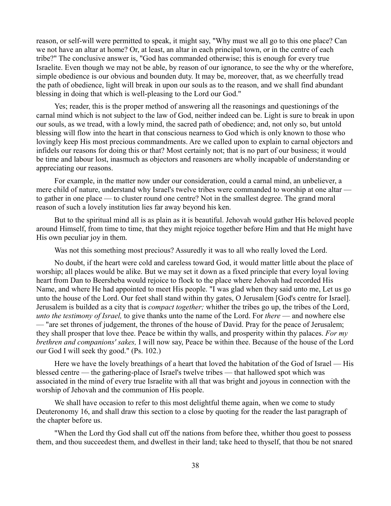reason, or self-will were permitted to speak, it might say, "Why must we all go to this one place? Can we not have an altar at home? Or, at least, an altar in each principal town, or in the centre of each tribe?" The conclusive answer is, "God has commanded otherwise; this is enough for every true Israelite. Even though we may not be able, by reason of our ignorance, to see the why or the wherefore, simple obedience is our obvious and bounden duty. It may be, moreover, that, as we cheerfully tread the path of obedience, light will break in upon our souls as to the reason, and we shall find abundant blessing in doing that which is well-pleasing to the Lord our God."

Yes; reader, this is the proper method of answering all the reasonings and questionings of the carnal mind which is not subject to the law of God, neither indeed can be. Light is sure to break in upon our souls, as we tread, with a lowly mind, the sacred path of obedience; and, not only so, but untold blessing will flow into the heart in that conscious nearness to God which is only known to those who lovingly keep His most precious commandments. Are we called upon to explain to carnal objectors and infidels our reasons for doing this or that? Most certainly not; that is no part of our business; it would be time and labour lost, inasmuch as objectors and reasoners are wholly incapable of understanding or appreciating our reasons.

For example, in the matter now under our consideration, could a carnal mind, an unbeliever, a mere child of nature, understand why Israel's twelve tribes were commanded to worship at one altar to gather in one place — to cluster round one centre? Not in the smallest degree. The grand moral reason of such a lovely institution lies far away beyond his ken.

But to the spiritual mind all is as plain as it is beautiful. Jehovah would gather His beloved people around Himself, from time to time, that they might rejoice together before Him and that He might have His own peculiar joy in them.

Was not this something most precious? Assuredly it was to all who really loved the Lord.

No doubt, if the heart were cold and careless toward God, it would matter little about the place of worship; all places would be alike. But we may set it down as a fixed principle that every loyal loving heart from Dan to Beersheba would rejoice to flock to the place where Jehovah had recorded His Name, and where He had appointed to meet His people. "I was glad when they said unto me, Let us go unto the house of the Lord. Our feet shall stand within thy gates, O Jerusalem [God's centre for Israel]. Jerusalem is builded as a city that is *compact together;* whither the tribes go up, the tribes of the Lord, *unto the testimony of Israel,* to give thanks unto the name of the Lord. For *there* — and nowhere else — "are set thrones of judgement, the thrones of the house of David. Pray for the peace of Jerusalem; they shall prosper that love thee. Peace be within thy walls, and prosperity within thy palaces. *For my brethren and companions' sakes,* I will now say, Peace be within thee. Because of the house of the Lord our God I will seek thy good." (Ps. 102.)

Here we have the lovely breathings of a heart that loved the habitation of the God of Israel — His blessed centre — the gathering-place of Israel's twelve tribes — that hallowed spot which was associated in the mind of every true Israelite with all that was bright and joyous in connection with the worship of Jehovah and the communion of His people.

We shall have occasion to refer to this most delightful theme again, when we come to study Deuteronomy 16, and shall draw this section to a close by quoting for the reader the last paragraph of the chapter before us.

"When the Lord thy God shall cut off the nations from before thee, whither thou goest to possess them, and thou succeedest them, and dwellest in their land; take heed to thyself, that thou be not snared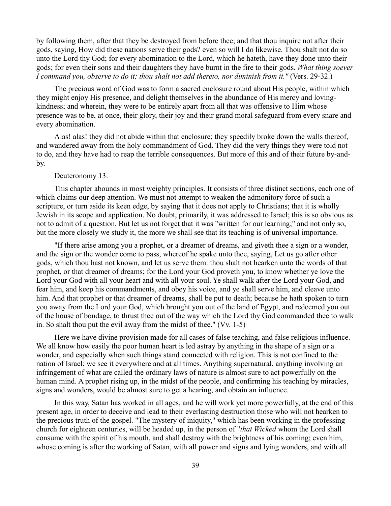by following them, after that they be destroyed from before thee; and that thou inquire not after their gods, saying, How did these nations serve their gods? even so will I do likewise. Thou shalt not do so unto the Lord thy God; for every abomination to the Lord, which he hateth, have they done unto their gods; for even their sons and their daughters they have burnt in the fire to their gods. *What thing soever I command you, observe to do it; thou shalt not add thereto, nor diminish from it."* (Vers. 29-32.)

The precious word of God was to form a sacred enclosure round about His people, within which they might enjoy His presence, and delight themselves in the abundance of His mercy and lovingkindness; and wherein, they were to be entirely apart from all that was offensive to Him whose presence was to be, at once, their glory, their joy and their grand moral safeguard from every snare and every abomination.

Alas! alas! they did not abide within that enclosure; they speedily broke down the walls thereof, and wandered away from the holy commandment of God. They did the very things they were told not to do, and they have had to reap the terrible consequences. But more of this and of their future by-andby.

## Deuteronomy 13.

This chapter abounds in most weighty principles. It consists of three distinct sections, each one of which claims our deep attention. We must not attempt to weaken the admonitory force of such a scripture, or turn aside its keen edge, by saying that it does not apply to Christians; that it is wholly Jewish in its scope and application. No doubt, primarily, it was addressed to Israel; this is so obvious as not to admit of a question. But let us not forget that it was "written for our learning;" and not only so, but the more closely we study it, the more we shall see that its teaching is of universal importance.

"If there arise among you a prophet, or a dreamer of dreams, and giveth thee a sign or a wonder, and the sign or the wonder come to pass, whereof he spake unto thee, saying, Let us go after other gods, which thou hast not known, and let us serve them: thou shalt not hearken unto the words of that prophet, or that dreamer of dreams; for the Lord your God proveth you, to know whether ye love the Lord your God with all your heart and with all your soul. Ye shall walk after the Lord your God, and fear him, and keep his commandments, and obey his voice, and ye shall serve him, and cleave unto him. And that prophet or that dreamer of dreams, shall be put to death; because he hath spoken to turn you away from the Lord your God, which brought you out of the land of Egypt, and redeemed you out of the house of bondage, to thrust thee out of the way which the Lord thy God commanded thee to walk in. So shalt thou put the evil away from the midst of thee." (Vv. 1-5)

Here we have divine provision made for all cases of false teaching, and false religious influence. We all know how easily the poor human heart is led astray by anything in the shape of a sign or a wonder, and especially when such things stand connected with religion. This is not confined to the nation of Israel; we see it everywhere and at all times. Anything supernatural, anything involving an infringement of what are called the ordinary laws of nature is almost sure to act powerfully on the human mind. A prophet rising up, in the midst of the people, and confirming his teaching by miracles, signs and wonders, would be almost sure to get a hearing, and obtain an influence.

In this way, Satan has worked in all ages, and he will work yet more powerfully, at the end of this present age, in order to deceive and lead to their everlasting destruction those who will not hearken to the precious truth of the gospel. "The mystery of iniquity," which has been working in the professing church for eighteen centuries, will be headed up, in the person of "*that Wicked* whom the Lord shall consume with the spirit of his mouth, and shall destroy with the brightness of his coming; even him, whose coming is after the working of Satan, with all power and signs and lying wonders, and with all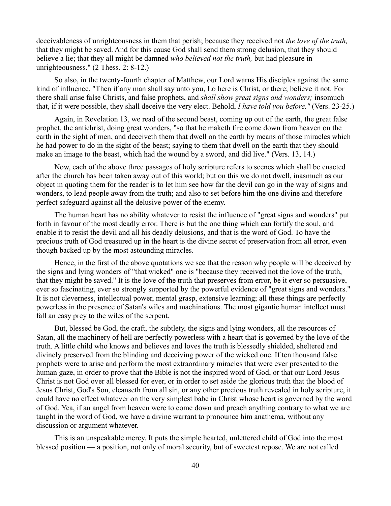deceivableness of unrighteousness in them that perish; because they received not *the love of the truth,* that they might be saved. And for this cause God shall send them strong delusion, that they should believe a lie; that they all might be damned *who believed not the truth,* but had pleasure in unrighteousness." (2 Thess. 2: 8-12.)

So also, in the twenty-fourth chapter of Matthew, our Lord warns His disciples against the same kind of influence. "Then if any man shall say unto you, Lo here is Christ, or there; believe it not. For there shall arise false Christs, and false prophets, and *shall show great signs and wonders;* insomuch that, if it were possible, they shall deceive the very elect. Behold, *I have told you before."* (Vers. 23-25.)

Again, in Revelation 13, we read of the second beast, coming up out of the earth, the great false prophet, the antichrist, doing great wonders, "so that he maketh fire come down from heaven on the earth in the sight of men, and deceiveth them that dwell on the earth by means of those miracles which he had power to do in the sight of the beast; saying to them that dwell on the earth that they should make an image to the beast, which had the wound by a sword, and did live." (Vers. 13, 14.)

Now, each of the above three passages of holy scripture refers to scenes which shall be enacted after the church has been taken away out of this world; but on this we do not dwell, inasmuch as our object in quoting them for the reader is to let him see how far the devil can go in the way of signs and wonders, to lead people away from the truth; and also to set before him the one divine and therefore perfect safeguard against all the delusive power of the enemy.

The human heart has no ability whatever to resist the influence of "great signs and wonders" put forth in favour of the most deadly error. There is but the one thing which can fortify the soul, and enable it to resist the devil and all his deadly delusions, and that is the word of God. To have the precious truth of God treasured up in the heart is the divine secret of preservation from all error, even though backed up by the most astounding miracles.

Hence, in the first of the above quotations we see that the reason why people will be deceived by the signs and lying wonders of "that wicked" one is "because they received not the love of the truth, that they might be saved." It is the love of the truth that preserves from error, be it ever so persuasive, ever so fascinating, ever so strongly supported by the powerful evidence of "great signs and wonders." It is not cleverness, intellectual power, mental grasp, extensive learning; all these things are perfectly powerless in the presence of Satan's wiles and machinations. The most gigantic human intellect must fall an easy prey to the wiles of the serpent.

But, blessed be God, the craft, the subtlety, the signs and lying wonders, all the resources of Satan, all the machinery of hell are perfectly powerless with a heart that is governed by the love of the truth. A little child who knows and believes and loves the truth is blessedly shielded, sheltered and divinely preserved from the blinding and deceiving power of the wicked one. If ten thousand false prophets were to arise and perform the most extraordinary miracles that were ever presented to the human gaze, in order to prove that the Bible is not the inspired word of God, or that our Lord Jesus Christ is not God over all blessed for ever, or in order to set aside the glorious truth that the blood of Jesus Christ, God's Son, cleanseth from all sin, or any other precious truth revealed in holy scripture, it could have no effect whatever on the very simplest babe in Christ whose heart is governed by the word of God. Yea, if an angel from heaven were to come down and preach anything contrary to what we are taught in the word of God, we have a divine warrant to pronounce him anathema, without any discussion or argument whatever.

This is an unspeakable mercy. It puts the simple hearted, unlettered child of God into the most blessed position — a position, not only of moral security, but of sweetest repose. We are not called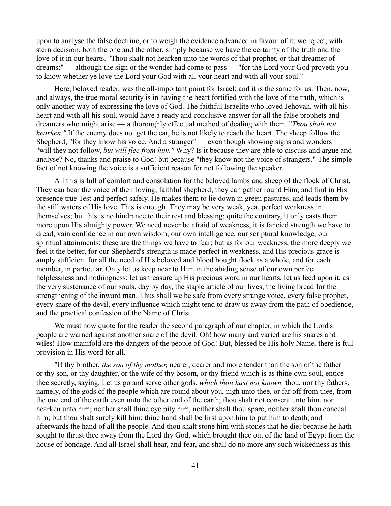upon to analyse the false doctrine, or to weigh the evidence advanced in favour of it; we reject, with stern decision, both the one and the other, simply because we have the certainty of the truth and the love of it in our hearts. "Thou shalt not hearken unto the words of that prophet, or that dreamer of dreams;" — although the sign or the wonder had come to pass — "for the Lord your God proveth you to know whether ye love the Lord your God with all your heart and with all your soul."

Here, beloved reader, was the all-important point for Israel; and it is the same for us. Then, now, and always, the true moral security is in having the heart fortified with the love of the truth, which is only another way of expressing the love of God. The faithful Israelite who loved Jehovah, with all his heart and with all his soul, would have a ready and conclusive answer for all the false prophets and dreamers who might arise — a thoroughly effectual method of dealing with them. "*Thou shalt not hearken.*" If the enemy does not get the ear, he is not likely to reach the heart. The sheep follow the Shepherd; "for they know his voice. And a stranger" — even though showing signs and wonders – "will they not follow, *but will flee from him."* Why? Is it because they are able to discuss and argue and analyse? No, thanks and praise to God! but because "they know not the voice of strangers." The simple fact of not knowing the voice is a sufficient reason for not following the speaker.

All this is full of comfort and consolation for the beloved lambs and sheep of the flock of Christ. They can hear the voice of their loving, faithful shepherd; they can gather round Him, and find in His presence true Test and perfect safely. He makes them to lie down in green pastures, and leads them by the still waters of His love. This is enough. They may be very weak, yea, perfect weakness in themselves; but this is no hindrance to their rest and blessing; quite the contrary, it only casts them more upon His almighty power. We need never be afraid of weakness, it is fancied strength we have to dread, vain confidence in our own wisdom, our own intelligence, our scriptural knowledge, our spiritual attainments; these are the things we have to fear; but as for our weakness, the more deeply we feel it the better, for our Shepherd's strength is made perfect in weakness, and His precious grace is amply sufficient for all the need of His beloved and blood bought flock as a whole, and for each member, in particular. Only let us keep near to Him in the abiding sense of our own perfect helplessness and nothingness; let us treasure up His precious word in our hearts, let us feed upon it, as the very sustenance of our souls, day by day, the staple article of our lives, the living bread for the strengthening of the inward man. Thus shall we be safe from every strange voice, every false prophet, every snare of the devil, every influence which might tend to draw us away from the path of obedience, and the practical confession of the Name of Christ.

We must now quote for the reader the second paragraph of our chapter, in which the Lord's people are warned against another snare of the devil. Oh! how many and varied are his snares and wiles! How manifold are the dangers of the people of God! But, blessed be His holy Name, there is full provision in His word for all.

"If thy brother, *the son of thy mother,* nearer, dearer and more tender than the son of the father or thy son, or thy daughter, or the wife of thy bosom, or thy friend which is as thine own soul, entice thee secretly, saying, Let us go and serve other gods, *which thou hast not known,* thou, nor thy fathers, namely, of the gods of the people which are round about you, nigh unto thee, or far off from thee, from the one end of the earth even unto the other end of the earth; thou shalt not consent unto him, nor hearken unto him; neither shall thine eye pity him, neither shalt thou spare, neither shalt thou conceal him; but thou shalt surely kill him; thine hand shall be first upon him to put him to death, and afterwards the hand of all the people. And thou shalt stone him with stones that he die; because he hath sought to thrust thee away from the Lord thy God, which brought thee out of the land of Egypt from the house of bondage. And all Israel shall hear, and fear, and shall do no more any such wickedness as this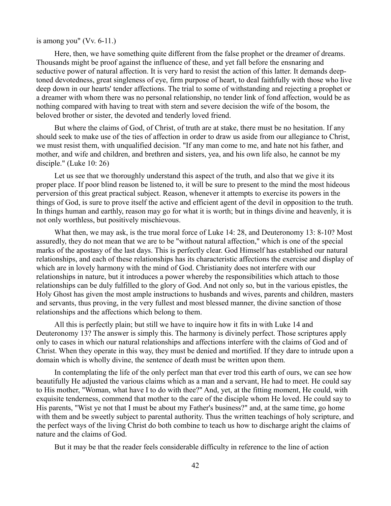### is among you" (Vv. 6-11.)

Here, then, we have something quite different from the false prophet or the dreamer of dreams. Thousands might be proof against the influence of these, and yet fall before the ensnaring and seductive power of natural affection. It is very hard to resist the action of this latter. It demands deeptoned devotedness, great singleness of eye, firm purpose of heart, to deal faithfully with those who live deep down in our hearts' tender affections. The trial to some of withstanding and rejecting a prophet or a dreamer with whom there was no personal relationship, no tender link of fond affection, would be as nothing compared with having to treat with stern and severe decision the wife of the bosom, the beloved brother or sister, the devoted and tenderly loved friend.

But where the claims of God, of Christ, of truth are at stake, there must be no hesitation. If any should seek to make use of the ties of affection in order to draw us aside from our allegiance to Christ, we must resist them, with unqualified decision. "If any man come to me, and hate not his father, and mother, and wife and children, and brethren and sisters, yea, and his own life also, he cannot be my disciple." (Luke 10: 26)

Let us see that we thoroughly understand this aspect of the truth, and also that we give it its proper place. If poor blind reason be listened to, it will be sure to present to the mind the most hideous perversion of this great practical subject. Reason, whenever it attempts to exercise its powers in the things of God, is sure to prove itself the active and efficient agent of the devil in opposition to the truth. In things human and earthly, reason may go for what it is worth; but in things divine and heavenly, it is not only worthless, but positively mischievous.

What then, we may ask, is the true moral force of Luke 14: 28, and Deuteronomy 13: 8-10? Most assuredly, they do not mean that we are to be "without natural affection," which is one of the special marks of the apostasy of the last days. This is perfectly clear. God Himself has established our natural relationships, and each of these relationships has its characteristic affections the exercise and display of which are in lovely harmony with the mind of God. Christianity does not interfere with our relationships in nature, but it introduces a power whereby the responsibilities which attach to those relationships can be duly fulfilled to the glory of God. And not only so, but in the various epistles, the Holy Ghost has given the most ample instructions to husbands and wives, parents and children, masters and servants, thus proving, in the very fullest and most blessed manner, the divine sanction of those relationships and the affections which belong to them.

All this is perfectly plain; but still we have to inquire how it fits in with Luke 14 and Deuteronomy 13? The answer is simply this. The harmony is divinely perfect. Those scriptures apply only to cases in which our natural relationships and affections interfere with the claims of God and of Christ. When they operate in this way, they must be denied and mortified. If they dare to intrude upon a domain which is wholly divine, the sentence of death must be written upon them.

In contemplating the life of the only perfect man that ever trod this earth of ours, we can see how beautifully He adjusted the various claims which as a man and a servant, He had to meet. He could say to His mother, "Woman, what have I to do with thee?" And, yet, at the fitting moment, He could, with exquisite tenderness, commend that mother to the care of the disciple whom He loved. He could say to His parents, "Wist ye not that I must be about my Father's business?" and, at the same time, go home with them and be sweetly subject to parental authority. Thus the written teachings of holy scripture, and the perfect ways of the living Christ do both combine to teach us how to discharge aright the claims of nature and the claims of God.

But it may be that the reader feels considerable difficulty in reference to the line of action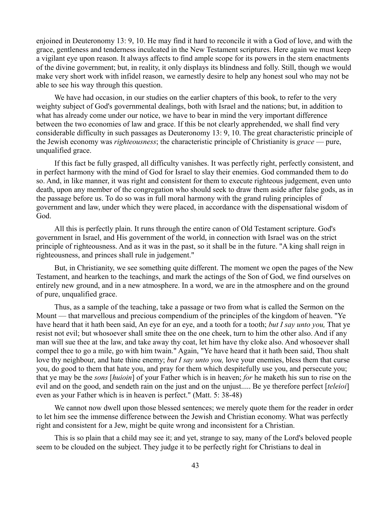enjoined in Deuteronomy 13: 9, 10. He may find it hard to reconcile it with a God of love, and with the grace, gentleness and tenderness inculcated in the New Testament scriptures. Here again we must keep a vigilant eye upon reason. It always affects to find ample scope for its powers in the stern enactments of the divine government; but, in reality, it only displays its blindness and folly. Still, though we would make very short work with infidel reason, we earnestly desire to help any honest soul who may not be able to see his way through this question.

We have had occasion, in our studies on the earlier chapters of this book, to refer to the very weighty subject of God's governmental dealings, both with Israel and the nations; but, in addition to what has already come under our notice, we have to bear in mind the very important difference between the two economies of law and grace. If this be not clearly apprehended, we shall find very considerable difficulty in such passages as Deuteronomy 13: 9, 10. The great characteristic principle of the Jewish economy was *righteousness*; the characteristic principle of Christianity is *grace* — pure, unqualified grace.

If this fact be fully grasped, all difficulty vanishes. It was perfectly right, perfectly consistent, and in perfect harmony with the mind of God for Israel to slay their enemies. God commanded them to do so. And, in like manner, it was right and consistent for them to execute righteous judgement, even unto death, upon any member of the congregation who should seek to draw them aside after false gods, as in the passage before us. To do so was in full moral harmony with the grand ruling principles of government and law, under which they were placed, in accordance with the dispensational wisdom of God.

All this is perfectly plain. It runs through the entire canon of Old Testament scripture. God's government in Israel, and His government of the world, in connection with Israel was on the strict principle of righteousness. And as it was in the past, so it shall be in the future. "A king shall reign in righteousness, and princes shall rule in judgement."

But, in Christianity, we see something quite different. The moment we open the pages of the New Testament, and hearken to the teachings, and mark the actings of the Son of God, we find ourselves on entirely new ground, and in a new atmosphere. In a word, we are in the atmosphere and on the ground of pure, unqualified grace.

Thus, as a sample of the teaching, take a passage or two from what is called the Sermon on the Mount — that marvellous and precious compendium of the principles of the kingdom of heaven. "Ye have heard that it hath been said, An eye for an eye, and a tooth for a tooth; *but I say unto you,* That ye resist not evil; but whosoever shall smite thee on the one cheek, turn to him the other also. And if any man will sue thee at the law, and take away thy coat, let him have thy cloke also. And whosoever shall compel thee to go a mile, go with him twain." Again, "Ye have heard that it hath been said, Thou shalt love thy neighbour, and hate thine enemy; *but I say unto you,* love your enemies, bless them that curse you, do good to them that hate you, and pray for them which despitefully use you, and persecute you; that ye may be the *sons* [*huioin*] of your Father which is in heaven; *for* he maketh his sun to rise on the evil and on the good, and sendeth rain on the just and on the unjust..... Be ye therefore perfect [*teleioi*] even as your Father which is in heaven is perfect." (Matt. 5: 38-48)

We cannot now dwell upon those blessed sentences; we merely quote them for the reader in order to let him see the immense difference between the Jewish and Christian economy. What was perfectly right and consistent for a Jew, might be quite wrong and inconsistent for a Christian.

This is so plain that a child may see it; and yet, strange to say, many of the Lord's beloved people seem to be clouded on the subject. They judge it to be perfectly right for Christians to deal in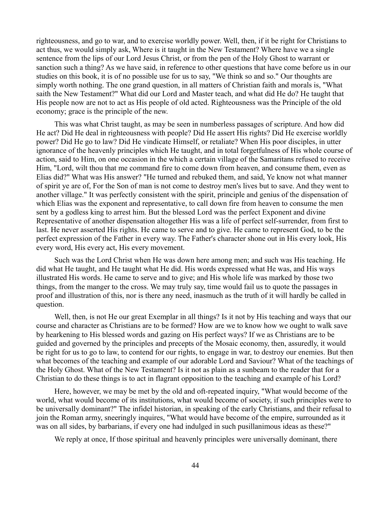righteousness, and go to war, and to exercise worldly power. Well, then, if it be right for Christians to act thus, we would simply ask, Where is it taught in the New Testament? Where have we a single sentence from the lips of our Lord Jesus Christ, or from the pen of the Holy Ghost to warrant or sanction such a thing? As we have said, in reference to other questions that have come before us in our studies on this book, it is of no possible use for us to say, "We think so and so." Our thoughts are simply worth nothing. The one grand question, in all matters of Christian faith and morals is, "What saith the New Testament?" What did our Lord and Master teach, and what did He do? He taught that His people now are not to act as His people of old acted. Righteousness was the Principle of the old economy; grace is the principle of the new.

This was what Christ taught, as may be seen in numberless passages of scripture. And how did He act? Did He deal in righteousness with people? Did He assert His rights? Did He exercise worldly power? Did He go to law? Did He vindicate Himself, or retaliate? When His poor disciples, in utter ignorance of the heavenly principles which He taught, and in total forgetfulness of His whole course of action, said to Him, on one occasion in the which a certain village of the Samaritans refused to receive Him, "Lord, wilt thou that me command fire to come down from heaven, and consume them, even as Elias did?" What was His answer? "He turned and rebuked them, and said, Ye know not what manner of spirit ye are of, For the Son of man is not come to destroy men's lives but to save. And they went to another village." It was perfectly consistent with the spirit, principle and genius of the dispensation of which Elias was the exponent and representative, to call down fire from heaven to consume the men sent by a godless king to arrest him. But the blessed Lord was the perfect Exponent and divine Representative of another dispensation altogether His was a life of perfect self-surrender, from first to last. He never asserted His rights. He came to serve and to give. He came to represent God, to be the perfect expression of the Father in every way. The Father's character shone out in His every look, His every word, His every act, His every movement.

Such was the Lord Christ when He was down here among men; and such was His teaching. He did what He taught, and He taught what He did. His words expressed what He was, and His ways illustrated His words. He came to serve and to give; and His whole life was marked by those two things, from the manger to the cross. We may truly say, time would fail us to quote the passages in proof and illustration of this, nor is there any need, inasmuch as the truth of it will hardly be called in question.

Well, then, is not He our great Exemplar in all things? Is it not by His teaching and ways that our course and character as Christians are to be formed? How are we to know how we ought to walk save by hearkening to His blessed words and gazing on His perfect ways? If we as Christians are to be guided and governed by the principles and precepts of the Mosaic economy, then, assuredly, it would be right for us to go to law, to contend for our rights, to engage in war, to destroy our enemies. But then what becomes of the teaching and example of our adorable Lord and Saviour? What of the teachings of the Holy Ghost. What of the New Testament? Is it not as plain as a sunbeam to the reader that for a Christian to do these things is to act in flagrant opposition to the teaching and example of his Lord?

Here, however, we may be met by the old and oft-repeated inquiry, "What would become of the world, what would become of its institutions, what would become of society, if such principles were to be universally dominant?" The infidel historian, in speaking of the early Christians, and their refusal to join the Roman army, sneeringly inquires, "What would have become of the empire, surrounded as it was on all sides, by barbarians, if every one had indulged in such pusillanimous ideas as these?"

We reply at once, If those spiritual and heavenly principles were universally dominant, there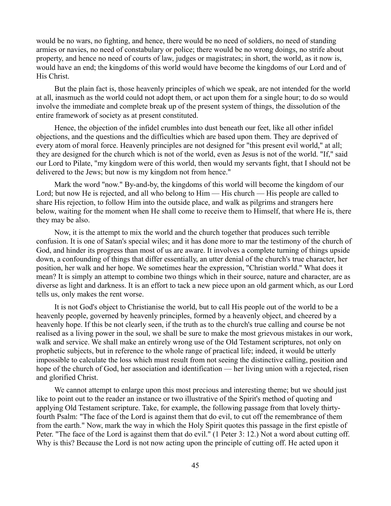would be no wars, no fighting, and hence, there would be no need of soldiers, no need of standing armies or navies, no need of constabulary or police; there would be no wrong doings, no strife about property, and hence no need of courts of law, judges or magistrates; in short, the world, as it now is, would have an end; the kingdoms of this world would have become the kingdoms of our Lord and of His Christ.

But the plain fact is, those heavenly principles of which we speak, are not intended for the world at all, inasmuch as the world could not adopt them, or act upon them for a single hour; to do so would involve the immediate and complete break up of the present system of things, the dissolution of the entire framework of society as at present constituted.

Hence, the objection of the infidel crumbles into dust beneath our feet, like all other infidel objections, and the questions and the difficulties which are based upon them. They are deprived of every atom of moral force. Heavenly principles are not designed for "this present evil world," at all; they are designed for the church which is not of the world, even as Jesus is not of the world. "If," said our Lord to Pilate, "my kingdom were of this world, then would my servants fight, that I should not be delivered to the Jews; but now is my kingdom not from hence."

Mark the word "now." By-and-by, the kingdoms of this world will become the kingdom of our Lord; but now He is rejected, and all who belong to Him — His church — His people are called to share His rejection, to follow Him into the outside place, and walk as pilgrims and strangers here below, waiting for the moment when He shall come to receive them to Himself, that where He is, there they may be also.

Now, it is the attempt to mix the world and the church together that produces such terrible confusion. It is one of Satan's special wiles; and it has done more to mar the testimony of the church of God, and hinder its progress than most of us are aware. It involves a complete turning of things upside down, a confounding of things that differ essentially, an utter denial of the church's true character, her position, her walk and her hope. We sometimes hear the expression, "Christian world." What does it mean? It is simply an attempt to combine two things which in their source, nature and character, are as diverse as light and darkness. It is an effort to tack a new piece upon an old garment which, as our Lord tells us, only makes the rent worse.

It is not God's object to Christianise the world, but to call His people out of the world to be a heavenly people, governed by heavenly principles, formed by a heavenly object, and cheered by a heavenly hope. If this be not clearly seen, if the truth as to the church's true calling and course be not realised as a living power in the soul, we shall be sure to make the most grievous mistakes in our work, walk and service. We shall make an entirely wrong use of the Old Testament scriptures, not only on prophetic subjects, but in reference to the whole range of practical life; indeed, it would be utterly impossible to calculate the loss which must result from not seeing the distinctive calling, position and hope of the church of God, her association and identification — her living union with a rejected, risen and glorified Christ.

We cannot attempt to enlarge upon this most precious and interesting theme; but we should just like to point out to the reader an instance or two illustrative of the Spirit's method of quoting and applying Old Testament scripture. Take, for example, the following passage from that lovely thirtyfourth Psalm: "The face of the Lord is against them that do evil, to cut off the remembrance of them from the earth." Now, mark the way in which the Holy Spirit quotes this passage in the first epistle of Peter. "The face of the Lord is against them that do evil." (1 Peter 3: 12.) Not a word about cutting off. Why is this? Because the Lord is not now acting upon the principle of cutting off. He acted upon it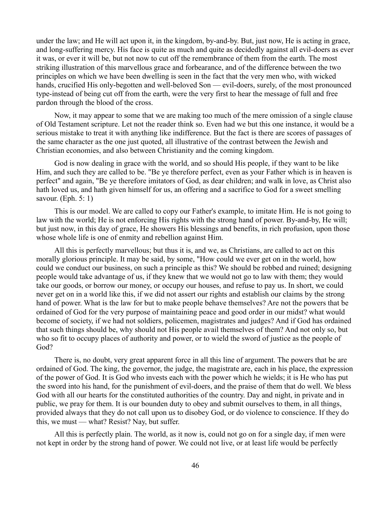under the law; and He will act upon it, in the kingdom, by-and-by. But, just now, He is acting in grace, and long-suffering mercy. His face is quite as much and quite as decidedly against all evil-doers as ever it was, or ever it will be, but not now to cut off the remembrance of them from the earth. The most striking illustration of this marvellous grace and forbearance, and of the difference between the two principles on which we have been dwelling is seen in the fact that the very men who, with wicked hands, crucified His only-begotten and well-beloved Son — evil-doers, surely, of the most pronounced type-instead of being cut off from the earth, were the very first to hear the message of full and free pardon through the blood of the cross.

Now, it may appear to some that we are making too much of the mere omission of a single clause of Old Testament scripture. Let not the reader think so. Even had we but this one instance, it would be a serious mistake to treat it with anything like indifference. But the fact is there are scores of passages of the same character as the one just quoted, all illustrative of the contrast between the Jewish and Christian economies, and also between Christianity and the coming kingdom.

God is now dealing in grace with the world, and so should His people, if they want to be like Him, and such they are called to be. "Be ye therefore perfect, even as your Father which is in heaven is perfect" and again, "Be ye therefore imitators of God, as dear children; and walk in love, as Christ also hath loved us, and hath given himself for us, an offering and a sacrifice to God for a sweet smelling savour. (Eph. 5: 1)

This is our model. We are called to copy our Father's example, to imitate Him. He is not going to law with the world; He is not enforcing His rights with the strong hand of power. By-and-by, He will; but just now, in this day of grace, He showers His blessings and benefits, in rich profusion, upon those whose whole life is one of enmity and rebellion against Him.

All this is perfectly marvellous; but thus it is, and we, as Christians, are called to act on this morally glorious principle. It may be said, by some, "How could we ever get on in the world, how could we conduct our business, on such a principle as this? We should be robbed and ruined; designing people would take advantage of us, if they knew that we would not go to law with them; they would take our goods, or borrow our money, or occupy our houses, and refuse to pay us. In short, we could never get on in a world like this, if we did not assert our rights and establish our claims by the strong hand of power. What is the law for but to make people behave themselves? Are not the powers that be ordained of God for the very purpose of maintaining peace and good order in our midst? what would become of society, if we had not soldiers, policemen, magistrates and judges? And if God has ordained that such things should be, why should not His people avail themselves of them? And not only so, but who so fit to occupy places of authority and power, or to wield the sword of justice as the people of God?

There is, no doubt, very great apparent force in all this line of argument. The powers that be are ordained of God. The king, the governor, the judge, the magistrate are, each in his place, the expression of the power of God. It is God who invests each with the power which he wields; it is He who has put the sword into his hand, for the punishment of evil-doers, and the praise of them that do well. We bless God with all our hearts for the constituted authorities of the country. Day and night, in private and in public, we pray for them. It is our bounden duty to obey and submit ourselves to them, in all things, provided always that they do not call upon us to disobey God, or do violence to conscience. If they do this, we must — what? Resist? Nay, but suffer.

All this is perfectly plain. The world, as it now is, could not go on for a single day, if men were not kept in order by the strong hand of power. We could not live, or at least life would be perfectly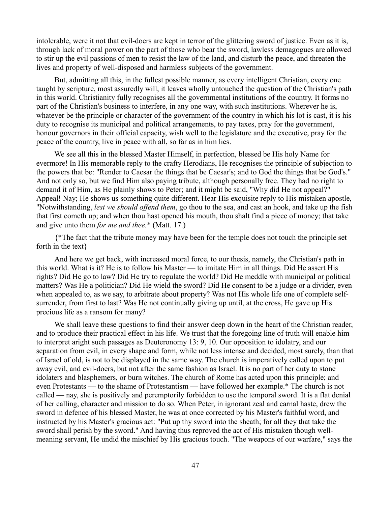intolerable, were it not that evil-doers are kept in terror of the glittering sword of justice. Even as it is, through lack of moral power on the part of those who bear the sword, lawless demagogues are allowed to stir up the evil passions of men to resist the law of the land, and disturb the peace, and threaten the lives and property of well-disposed and harmless subjects of the government.

But, admitting all this, in the fullest possible manner, as every intelligent Christian, every one taught by scripture, most assuredly will, it leaves wholly untouched the question of the Christian's path in this world. Christianity fully recognises all the governmental institutions of the country. It forms no part of the Christian's business to interfere, in any one way, with such institutions. Wherever he is, whatever be the principle or character of the government of the country in which his lot is cast, it is his duty to recognise its municipal and political arrangements, to pay taxes, pray for the government, honour governors in their official capacity, wish well to the legislature and the executive, pray for the peace of the country, live in peace with all, so far as in him lies.

We see all this in the blessed Master Himself, in perfection, blessed be His holy Name for evermore! In His memorable reply to the crafty Herodians, He recognises the principle of subjection to the powers that be: "Render to Caesar the things that be Caesar's; and to God the things that be God's." And not only so, but we find Him also paying tribute, although personally free. They had no right to demand it of Him, as He plainly shows to Peter; and it might be said, "Why did He not appeal?" Appeal! Nay; He shows us something quite different. Hear His exquisite reply to His mistaken apostle, "Notwithstanding, *lest we should offend them*, go thou to the sea, and cast an hook, and take up the fish that first cometh up; and when thou hast opened his mouth, thou shalt find a piece of money; that take and give unto them *for me and thee.*\* (Matt. 17.)

{\*The fact that the tribute money may have been for the temple does not touch the principle set forth in the text}

And here we get back, with increased moral force, to our thesis, namely, the Christian's path in this world. What is it? He is to follow his Master — to imitate Him in all things. Did He assert His rights? Did He go to law? Did He try to regulate the world? Did He meddle with municipal or political matters? Was He a politician? Did He wield the sword? Did He consent to be a judge or a divider, even when appealed to, as we say, to arbitrate about property? Was not His whole life one of complete selfsurrender, from first to last? Was He not continually giving up until, at the cross, He gave up His precious life as a ransom for many?

We shall leave these questions to find their answer deep down in the heart of the Christian reader, and to produce their practical effect in his life. We trust that the foregoing line of truth will enable him to interpret aright such passages as Deuteronomy 13: 9, 10. Our opposition to idolatry, and our separation from evil, in every shape and form, while not less intense and decided, most surely, than that of Israel of old, is not to be displayed in the same way. The church is imperatively called upon to put away evil, and evil-doers, but not after the same fashion as Israel. It is no part of her duty to stone idolaters and blasphemers, or burn witches. The church of Rome has acted upon this principle; and even Protestants — to the shame of Protestantism — have followed her example.\* The church is not called — nay, she is positively and peremptorily forbidden to use the temporal sword. It is a flat denial of her calling, character and mission to do so. When Peter, in ignorant zeal and carnal haste, drew the sword in defence of his blessed Master, he was at once corrected by his Master's faithful word, and instructed by his Master's gracious act: "Put up thy sword into the sheath; for all they that take the sword shall perish by the sword." And having thus reproved the act of His mistaken though wellmeaning servant, He undid the mischief by His gracious touch. "The weapons of our warfare," says the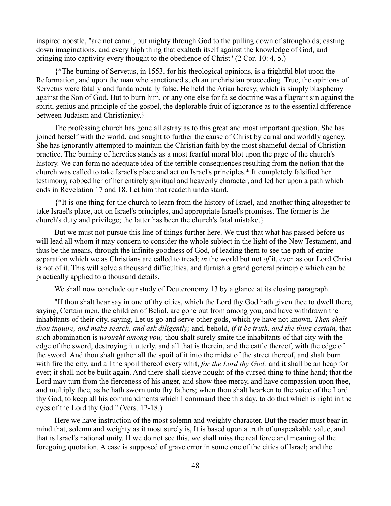inspired apostle, "are not carnal, but mighty through God to the pulling down of strongholds; casting down imaginations, and every high thing that exalteth itself against the knowledge of God, and bringing into captivity every thought to the obedience of Christ" (2 Cor. 10: 4, 5.)

{\*The burning of Servetus, in 1553, for his theological opinions, is a frightful blot upon the Reformation, and upon the man who sanctioned such an unchristian proceeding. True, the opinions of Servetus were fatally and fundamentally false. He held the Arian heresy, which is simply blasphemy against the Son of God. But to burn him, or any one else for false doctrine was a flagrant sin against the spirit, genius and principle of the gospel, the deplorable fruit of ignorance as to the essential difference between Judaism and Christianity.}

The professing church has gone all astray as to this great and most important question. She has joined herself with the world, and sought to further the cause of Christ by carnal and worldly agency. She has ignorantly attempted to maintain the Christian faith by the most shameful denial of Christian practice. The burning of heretics stands as a most fearful moral blot upon the page of the church's history. We can form no adequate idea of the terrible consequences resulting from the notion that the church was called to take Israel's place and act on Israel's principles.\* It completely falsified her testimony, robbed her of her entirely spiritual and heavenly character, and led her upon a path which ends in Revelation 17 and 18. Let him that readeth understand.

{\*It is one thing for the church to learn from the history of Israel, and another thing altogether to take Israel's place, act on Israel's principles, and appropriate Israel's promises. The former is the church's duty and privilege; the latter has been the church's fatal mistake.}

But we must not pursue this line of things further here. We trust that what has passed before us will lead all whom it may concern to consider the whole subject in the light of the New Testament, and thus be the means, through the infinite goodness of God, of leading them to see the path of entire separation which we as Christians are called to tread; *in* the world but not *of* it, even as our Lord Christ is not of it. This will solve a thousand difficulties, and furnish a grand general principle which can be practically applied to a thousand details.

We shall now conclude our study of Deuteronomy 13 by a glance at its closing paragraph.

"If thou shalt hear say in one of thy cities, which the Lord thy God hath given thee to dwell there, saying, Certain men, the children of Belial, are gone out from among you, and have withdrawn the inhabitants of their city, saying, Let us go and serve other gods, which ye have not known. *Then shalt thou inquire, and make search, and ask diligently;* and, behold, *if it be truth, and the thing certain,* that such abomination is *wrought among you;* thou shalt surely smite the inhabitants of that city with the edge of the sword, destroying it utterly, and all that is therein, and the cattle thereof, with the edge of the sword. And thou shalt gather all the spoil of it into the midst of the street thereof, and shalt burn with fire the city, and all the spoil thereof every whit, *for the Lord thy God;* and it shall be an heap for ever; it shall not be built again. And there shall cleave nought of the cursed thing to thine hand; that the Lord may turn from the fierceness of his anger, and show thee mercy, and have compassion upon thee, and multiply thee, as he hath sworn unto thy fathers; when thou shalt hearken to the voice of the Lord thy God, to keep all his commandments which I command thee this day, to do that which is right in the eyes of the Lord thy God." (Vers. 12-18.)

Here we have instruction of the most solemn and weighty character. But the reader must bear in mind that, solemn and weighty as it most surely is, It is based upon a truth of unspeakable value, and that is Israel's national unity. If we do not see this, we shall miss the real force and meaning of the foregoing quotation. A case is supposed of grave error in some one of the cities of Israel; and the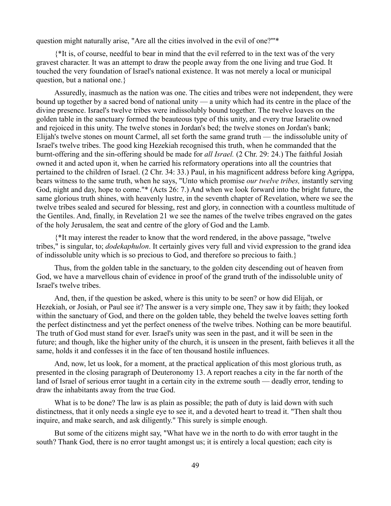question might naturally arise, "Are all the cities involved in the evil of one?"'\*

{\*It is, of course, needful to bear in mind that the evil referred to in the text was of the very gravest character. It was an attempt to draw the people away from the one living and true God. It touched the very foundation of Israel's national existence. It was not merely a local or municipal question, but a national one.}

Assuredly, inasmuch as the nation was one. The cities and tribes were not independent, they were bound up together by a sacred bond of national unity — a unity which had its centre in the place of the divine presence. Israel's twelve tribes were indissolubly bound together. The twelve loaves on the golden table in the sanctuary formed the beauteous type of this unity, and every true Israelite owned and rejoiced in this unity. The twelve stones in Jordan's bed; the twelve stones on Jordan's bank; Elijah's twelve stones on mount Carmel, all set forth the same grand truth — the indissoluble unity of Israel's twelve tribes. The good king Hezekiah recognised this truth, when he commanded that the burnt-offering and the sin-offering should be made for *all Israel.* (2 Chr. 29: 24.) The faithful Josiah owned it and acted upon it, when he carried his reformatory operations into all the countries that pertained to the children of Israel. (2 Chr. 34: 33.) Paul, in his magnificent address before king Agrippa, bears witness to the same truth, when he says, "Unto which promise *our twelve tribes,* instantly serving God, night and day, hope to come."\* (Acts 26: 7.) And when we look forward into the bright future, the same glorious truth shines, with heavenly lustre, in the seventh chapter of Revelation, where we see the twelve tribes sealed and secured for blessing, rest and glory, in connection with a countless multitude of the Gentiles. And, finally, in Revelation 21 we see the names of the twelve tribes engraved on the gates of the holy Jerusalem, the seat and centre of the glory of God and the Lamb.

{\*It may interest the reader to know that the word rendered, in the above passage, "twelve tribes," is singular, to; *dodekaphulon*. It certainly gives very full and vivid expression to the grand idea of indissoluble unity which is so precious to God, and therefore so precious to faith.}

Thus, from the golden table in the sanctuary, to the golden city descending out of heaven from God, we have a marvellous chain of evidence in proof of the grand truth of the indissoluble unity of Israel's twelve tribes.

And, then, if the question be asked, where is this unity to be seen? or how did Elijah, or Hezekiah, or Josiah, or Paul see it? The answer is a very simple one, They saw it by faith; they looked within the sanctuary of God, and there on the golden table, they beheld the twelve loaves setting forth the perfect distinctness and yet the perfect oneness of the twelve tribes. Nothing can be more beautiful. The truth of God must stand for ever. Israel's unity was seen in the past, and it will be seen in the future; and though, like the higher unity of the church, it is unseen in the present, faith believes it all the same, holds it and confesses it in the face of ten thousand hostile influences.

And, now, let us look, for a moment, at the practical application of this most glorious truth, as presented in the closing paragraph of Deuteronomy 13. A report reaches a city in the far north of the land of Israel of serious error taught in a certain city in the extreme south — deadly error, tending to draw the inhabitants away from the true God.

What is to be done? The law is as plain as possible; the path of duty is laid down with such distinctness, that it only needs a single eye to see it, and a devoted heart to tread it. "Then shalt thou inquire, and make search, and ask diligently." This surely is simple enough.

But some of the citizens might say, "What have we in the north to do with error taught in the south? Thank God, there is no error taught amongst us; it is entirely a local question; each city is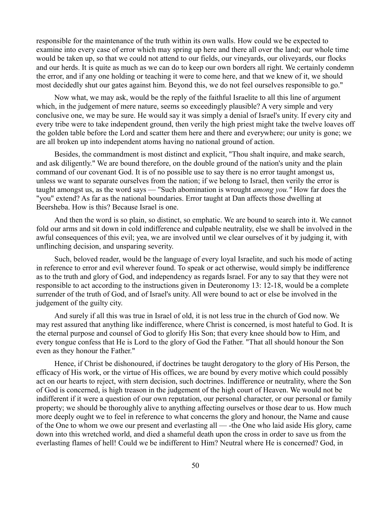responsible for the maintenance of the truth within its own walls. How could we be expected to examine into every case of error which may spring up here and there all over the land; our whole time would be taken up, so that we could not attend to our fields, our vineyards, our oliveyards, our flocks and our herds. It is quite as much as we can do to keep our own borders all right. We certainly condemn the error, and if any one holding or teaching it were to come here, and that we knew of it, we should most decidedly shut our gates against him. Beyond this, we do not feel ourselves responsible to go."

Now what, we may ask, would be the reply of the faithful Israelite to all this line of argument which, in the judgement of mere nature, seems so exceedingly plausible? A very simple and very conclusive one, we may be sure. He would say it was simply a denial of Israel's unity. If every city and every tribe were to take independent ground, then verily the high priest might take the twelve loaves off the golden table before the Lord and scatter them here and there and everywhere; our unity is gone; we are all broken up into independent atoms having no national ground of action.

Besides, the commandment is most distinct and explicit, "Thou shalt inquire, and make search, and ask diligently." We are bound therefore, on the double ground of the nation's unity and the plain command of our covenant God. It is of no possible use to say there is no error taught amongst us, unless we want to separate ourselves from the nation; if we belong to Israel, then verily the error is taught amongst us, as the word says — "Such abomination is wrought *among you."* How far does the "you" extend? As far as the national boundaries. Error taught at Dan affects those dwelling at Beersheba. How is this? Because Israel is one.

And then the word is so plain, so distinct, so emphatic. We are bound to search into it. We cannot fold our arms and sit down in cold indifference and culpable neutrality, else we shall be involved in the awful consequences of this evil; yea, we are involved until we clear ourselves of it by judging it, with unflinching decision, and unsparing severity.

Such, beloved reader, would be the language of every loyal Israelite, and such his mode of acting in reference to error and evil wherever found. To speak or act otherwise, would simply be indifference as to the truth and glory of God, and independency as regards Israel. For any to say that they were not responsible to act according to the instructions given in Deuteronomy 13: 12-18, would be a complete surrender of the truth of God, and of Israel's unity. All were bound to act or else be involved in the judgement of the guilty city.

And surely if all this was true in Israel of old, it is not less true in the church of God now. We may rest assured that anything like indifference, where Christ is concerned, is most hateful to God. It is the eternal purpose and counsel of God to glorify His Son; that every knee should bow to Him, and every tongue confess that He is Lord to the glory of God the Father. "That all should honour the Son even as they honour the Father."

Hence, if Christ be dishonoured, if doctrines be taught derogatory to the glory of His Person, the efficacy of His work, or the virtue of His offices, we are bound by every motive which could possibly act on our hearts to reject, with stern decision, such doctrines. Indifference or neutrality, where the Son of God is concerned, is high treason in the judgement of the high court of Heaven. We would not be indifferent if it were a question of our own reputation, our personal character, or our personal or family property; we should be thoroughly alive to anything affecting ourselves or those dear to us. How much more deeply ought we to feel in reference to what concerns the glory and honour, the Name and cause of the One to whom we owe our present and everlasting all — -the One who laid aside His glory, came down into this wretched world, and died a shameful death upon the cross in order to save us from the everlasting flames of hell! Could we be indifferent to Him? Neutral where He is concerned? God, in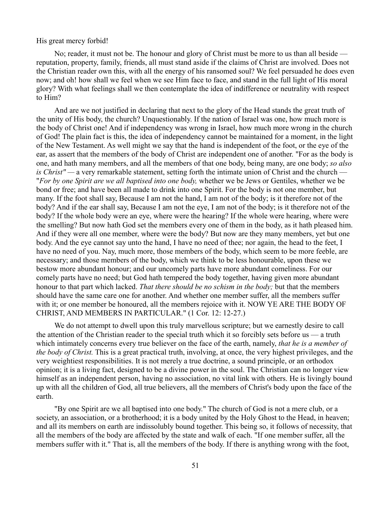### His great mercy forbid!

No; reader, it must not be. The honour and glory of Christ must be more to us than all beside reputation, property, family, friends, all must stand aside if the claims of Christ are involved. Does not the Christian reader own this, with all the energy of his ransomed soul? We feel persuaded he does even now; and oh! how shall we feel when we see Him face to face, and stand in the full light of His moral glory? With what feelings shall we then contemplate the idea of indifference or neutrality with respect to Him?

And are we not justified in declaring that next to the glory of the Head stands the great truth of the unity of His body, the church? Unquestionably. If the nation of Israel was one, how much more is the body of Christ one! And if independency was wrong in Israel, how much more wrong in the church of God! The plain fact is this, the idea of independency cannot be maintained for a moment, in the light of the New Testament. As well might we say that the hand is independent of the foot, or the eye of the ear, as assert that the members of the body of Christ are independent one of another. "For as the body is one, and hath many members, and all the members of that one body, being many, are one body; *so also is Christ" —* a very remarkable statement, setting forth the intimate union of Christ and the church — "*For by one Spirit are we all baptised into one body,* whether we be Jews or Gentiles, whether we be bond or free; and have been all made to drink into one Spirit. For the body is not one member, but many. If the foot shall say, Because I am not the hand, I am not of the body; is it therefore not of the body? And if the ear shall say, Because I am not the eye, I am not of the body; is it therefore not of the body? If the whole body were an eye, where were the hearing? If the whole were hearing, where were the smelling? But now hath God set the members every one of them in the body, as it hath pleased him. And if they were all one member, where were the body? But now are they many members, yet but one body. And the eye cannot say unto the hand, I have no need of thee; nor again, the head to the feet, I have no need of you. Nay, much more, those members of the body, which seem to be more feeble, are necessary; and those members of the body, which we think to be less honourable, upon these we bestow more abundant honour; and our uncomely parts have more abundant comeliness. For our comely parts have no need; but God hath tempered the body together, having given more abundant honour to that part which lacked. *That there should be no schism in the body;* but that the members should have the same care one for another. And whether one member suffer, all the members suffer with it; or one member be honoured, all the members rejoice with it. NOW YE ARE THE BODY OF CHRIST, AND MEMBERS IN PARTICULAR." (1 Cor. 12: 12-27.)

We do not attempt to dwell upon this truly marvellous scripture; but we earnestly desire to call the attention of the Christian reader to the special truth which it so forcibly sets before us — a truth which intimately concerns every true believer on the face of the earth, namely, *that he is a member of the body of Christ.* This is a great practical truth, involving, at once, the very highest privileges, and the very weightiest responsibilities. It is not merely a true doctrine, a sound principle, or an orthodox opinion; it is a living fact, designed to be a divine power in the soul. The Christian can no longer view himself as an independent person, having no association, no vital link with others. He is livingly bound up with all the children of God, all true believers, all the members of Christ's body upon the face of the earth.

"By one Spirit are we all baptised into one body." The church of God is not a mere club, or a society, an association, or a brotherhood; it is a body united by the Holy Ghost to the Head, in heaven; and all its members on earth are indissolubly bound together. This being so, it follows of necessity, that all the members of the body are affected by the state and walk of each. "If one member suffer, all the members suffer with it." That is, all the members of the body. If there is anything wrong with the foot,